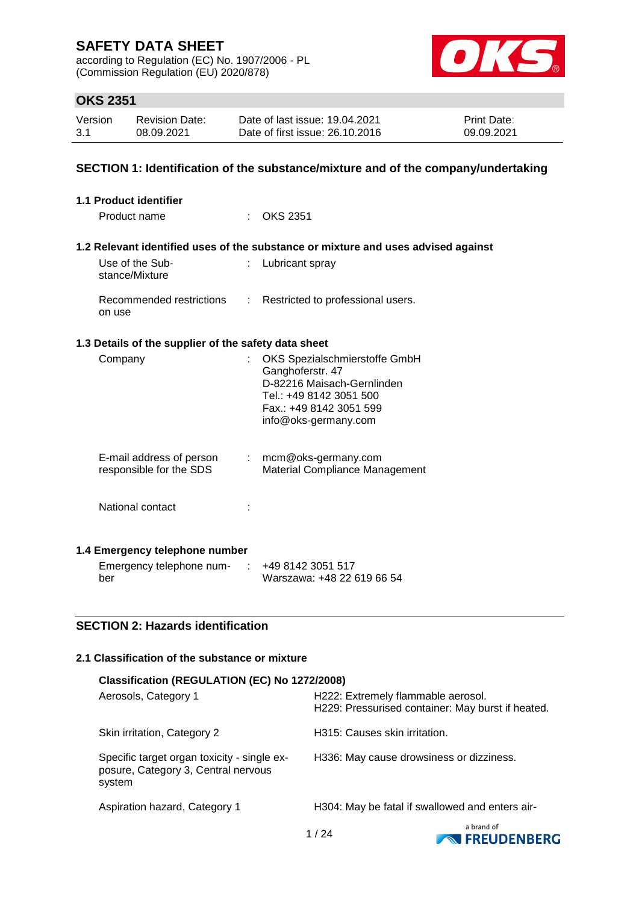according to Regulation (EC) No. 1907/2006 - PL (Commission Regulation (EU) 2020/878)



## **OKS 2351**

| Version | <b>Revision Date:</b> | Date of last issue: 19.04.2021  | <b>Print Date:</b> |
|---------|-----------------------|---------------------------------|--------------------|
| 3.1     | 08.09.2021            | Date of first issue: 26.10.2016 | 09.09.2021         |

### **SECTION 1: Identification of the substance/mixture and of the company/undertaking**

| <b>1.1 Product identifier</b>                        |                                                                                                                                                                                                                                                                                                                                                                                                                               |                                                                                   |
|------------------------------------------------------|-------------------------------------------------------------------------------------------------------------------------------------------------------------------------------------------------------------------------------------------------------------------------------------------------------------------------------------------------------------------------------------------------------------------------------|-----------------------------------------------------------------------------------|
| Product name                                         |                                                                                                                                                                                                                                                                                                                                                                                                                               | <b>OKS 2351</b>                                                                   |
|                                                      |                                                                                                                                                                                                                                                                                                                                                                                                                               |                                                                                   |
|                                                      |                                                                                                                                                                                                                                                                                                                                                                                                                               | 1.2 Relevant identified uses of the substance or mixture and uses advised against |
| Use of the Sub-<br>stance/Mixture                    |                                                                                                                                                                                                                                                                                                                                                                                                                               | Lubricant spray                                                                   |
| Recommended restrictions<br>on use                   | $\mathcal{I}^{\mathcal{I}^{\mathcal{I}^{\mathcal{I}^{\mathcal{I}^{\mathcal{I}^{\mathcal{I}^{\mathcal{I}^{\mathcal{I}^{\mathcal{I}^{\mathcal{I}^{\mathcal{I}^{\mathcal{I}^{\mathcal{I}^{\mathcal{I}^{\mathcal{I}^{\mathcal{I}^{\mathcal{I}^{\mathcal{I}^{\mathcal{I}^{\mathcal{I}^{\mathcal{I}^{\mathcal{I}^{\mathcal{I}^{\mathcal{I}^{\mathcal{I}^{\mathcal{I}^{\mathcal{I}^{\mathcal{I}^{\mathcal{I}^{\mathcal{I}^{\mathcal$ | Restricted to professional users.                                                 |
| 1.3 Details of the supplier of the safety data sheet |                                                                                                                                                                                                                                                                                                                                                                                                                               |                                                                                   |
| Company                                              | t.                                                                                                                                                                                                                                                                                                                                                                                                                            | OKS Spezialschmierstoffe GmbH                                                     |
|                                                      |                                                                                                                                                                                                                                                                                                                                                                                                                               | Ganghoferstr. 47                                                                  |
|                                                      |                                                                                                                                                                                                                                                                                                                                                                                                                               | D-82216 Maisach-Gernlinden                                                        |
|                                                      |                                                                                                                                                                                                                                                                                                                                                                                                                               | Tel.: +49 8142 3051 500                                                           |
|                                                      |                                                                                                                                                                                                                                                                                                                                                                                                                               | Fax.: +49 8142 3051 599<br>info@oks-germany.com                                   |
|                                                      |                                                                                                                                                                                                                                                                                                                                                                                                                               |                                                                                   |
| E-mail address of person                             | $\mathcal{I}^{\mathcal{A}}$ .                                                                                                                                                                                                                                                                                                                                                                                                 | mcm@oks-germany.com                                                               |
| responsible for the SDS                              |                                                                                                                                                                                                                                                                                                                                                                                                                               | <b>Material Compliance Management</b>                                             |
|                                                      |                                                                                                                                                                                                                                                                                                                                                                                                                               |                                                                                   |
| National contact                                     |                                                                                                                                                                                                                                                                                                                                                                                                                               |                                                                                   |
|                                                      |                                                                                                                                                                                                                                                                                                                                                                                                                               |                                                                                   |
| 1.4 Emergency telephone number                       |                                                                                                                                                                                                                                                                                                                                                                                                                               |                                                                                   |
| Emergency telephone num-                             | $\mathcal{L}$                                                                                                                                                                                                                                                                                                                                                                                                                 | +49 8142 3051 517                                                                 |
| h≙r                                                  |                                                                                                                                                                                                                                                                                                                                                                                                                               | /Marezawa: 148 22 610 66 54                                                       |

### **SECTION 2: Hazards identification**

ber

## **2.1 Classification of the substance or mixture**

| Classification (REGULATION (EC) No 1272/2008)                                                |                                                                                         |
|----------------------------------------------------------------------------------------------|-----------------------------------------------------------------------------------------|
| Aerosols, Category 1                                                                         | H222: Extremely flammable aerosol.<br>H229: Pressurised container: May burst if heated. |
| Skin irritation, Category 2                                                                  | H315: Causes skin irritation.                                                           |
| Specific target organ toxicity - single ex-<br>posure, Category 3, Central nervous<br>system | H336: May cause drowsiness or dizziness.                                                |
| Aspiration hazard, Category 1                                                                | H304: May be fatal if swallowed and enters air-                                         |
|                                                                                              | a hrand of                                                                              |

Warszawa: +48 22 619 66 54

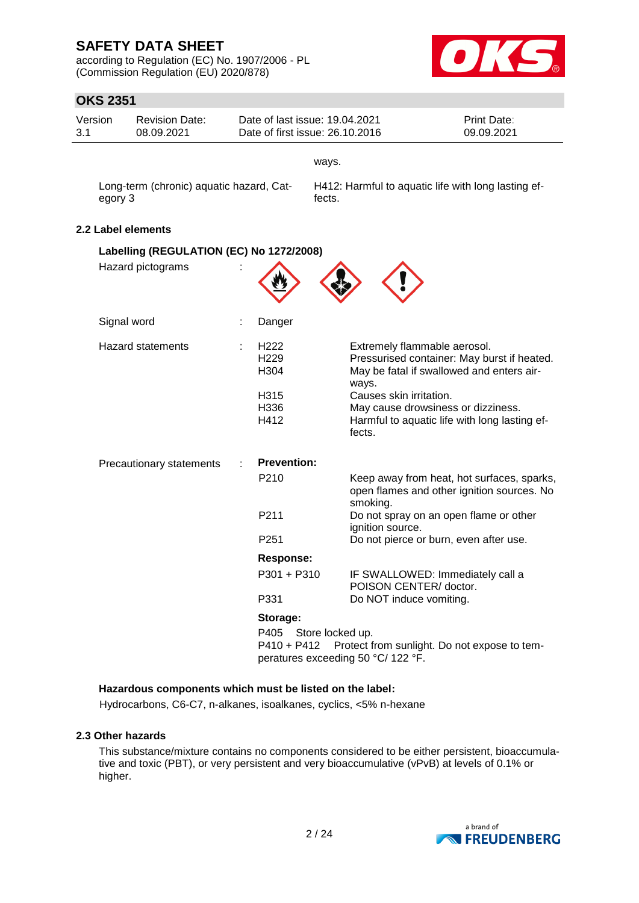according to Regulation (EC) No. 1907/2006 - PL (Commission Regulation (EU) 2020/878)



## **OKS 2351**

| Version<br>3.1 |             | <b>Revision Date:</b><br>08.09.2021      |   |                                                                      | Date of last issue: 19.04.2021<br>Date of first issue: 26.10.2016          | Print Date:<br>09.09.2021                                                                                                                                                       |
|----------------|-------------|------------------------------------------|---|----------------------------------------------------------------------|----------------------------------------------------------------------------|---------------------------------------------------------------------------------------------------------------------------------------------------------------------------------|
|                |             |                                          |   |                                                                      | ways.                                                                      |                                                                                                                                                                                 |
|                | egory 3     | Long-term (chronic) aquatic hazard, Cat- |   |                                                                      | fects.                                                                     | H412: Harmful to aquatic life with long lasting ef-                                                                                                                             |
|                |             | 2.2 Label elements                       |   |                                                                      |                                                                            |                                                                                                                                                                                 |
|                |             | Labelling (REGULATION (EC) No 1272/2008) |   |                                                                      |                                                                            |                                                                                                                                                                                 |
|                |             | Hazard pictograms                        |   |                                                                      |                                                                            |                                                                                                                                                                                 |
|                | Signal word |                                          |   | Danger                                                               |                                                                            |                                                                                                                                                                                 |
|                |             | <b>Hazard statements</b>                 |   | H <sub>222</sub><br>H <sub>229</sub><br>H304<br>H315<br>H336<br>H412 | Extremely flammable aerosol.<br>ways.<br>Causes skin irritation.<br>fects. | Pressurised container: May burst if heated.<br>May be fatal if swallowed and enters air-<br>May cause drowsiness or dizziness.<br>Harmful to aquatic life with long lasting ef- |
|                |             | Precautionary statements                 | ÷ | <b>Prevention:</b>                                                   |                                                                            |                                                                                                                                                                                 |
|                |             |                                          |   | P210                                                                 | smoking.                                                                   | Keep away from heat, hot surfaces, sparks,<br>open flames and other ignition sources. No                                                                                        |
|                |             |                                          |   | P211                                                                 | ignition source.                                                           | Do not spray on an open flame or other                                                                                                                                          |
|                |             |                                          |   | P <sub>251</sub>                                                     |                                                                            | Do not pierce or burn, even after use.                                                                                                                                          |
|                |             |                                          |   | <b>Response:</b>                                                     |                                                                            |                                                                                                                                                                                 |
|                |             |                                          |   | P301 + P310                                                          | POISON CENTER/ doctor.                                                     | IF SWALLOWED: Immediately call a                                                                                                                                                |
|                |             |                                          |   | P331                                                                 | Do NOT induce vomiting.                                                    |                                                                                                                                                                                 |
|                |             |                                          |   | Storage:                                                             |                                                                            |                                                                                                                                                                                 |
|                |             |                                          |   | P405<br>P410 + P412                                                  | Store locked up.<br>peratures exceeding 50 °C/ 122 °F.                     | Protect from sunlight. Do not expose to tem-                                                                                                                                    |

#### **Hazardous components which must be listed on the label:**

Hydrocarbons, C6-C7, n-alkanes, isoalkanes, cyclics, <5% n-hexane

### **2.3 Other hazards**

This substance/mixture contains no components considered to be either persistent, bioaccumulative and toxic (PBT), or very persistent and very bioaccumulative (vPvB) at levels of 0.1% or higher.

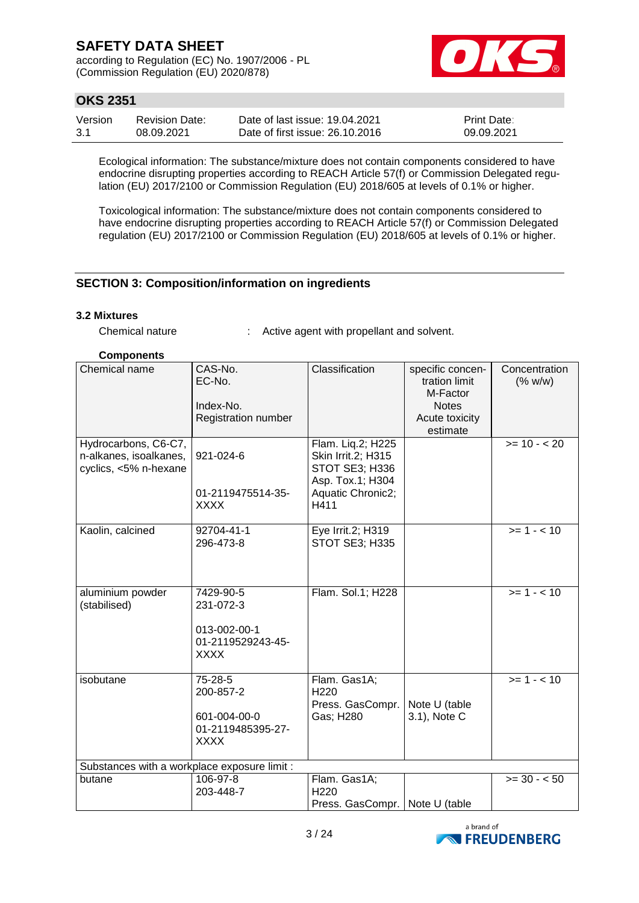according to Regulation (EC) No. 1907/2006 - PL (Commission Regulation (EU) 2020/878)



## **OKS 2351**

| Version | <b>Revision Date:</b> | Date of last issue: 19.04.2021  | <b>Print Date:</b> |
|---------|-----------------------|---------------------------------|--------------------|
| -3.1    | 08.09.2021            | Date of first issue: 26.10.2016 | 09.09.2021         |

Ecological information: The substance/mixture does not contain components considered to have endocrine disrupting properties according to REACH Article 57(f) or Commission Delegated regulation (EU) 2017/2100 or Commission Regulation (EU) 2018/605 at levels of 0.1% or higher.

Toxicological information: The substance/mixture does not contain components considered to have endocrine disrupting properties according to REACH Article 57(f) or Commission Delegated regulation (EU) 2017/2100 or Commission Regulation (EU) 2018/605 at levels of 0.1% or higher.

### **SECTION 3: Composition/information on ingredients**

#### **3.2 Mixtures**

Chemical nature : Active agent with propellant and solvent.

#### **Components**

| Chemical name                                                           | CAS-No.<br>EC-No.<br>Index-No.<br>Registration number                      | Classification                                                                                             | specific concen-<br>tration limit<br>M-Factor<br><b>Notes</b><br>Acute toxicity<br>estimate | Concentration<br>(% w/w) |
|-------------------------------------------------------------------------|----------------------------------------------------------------------------|------------------------------------------------------------------------------------------------------------|---------------------------------------------------------------------------------------------|--------------------------|
| Hydrocarbons, C6-C7,<br>n-alkanes, isoalkanes,<br>cyclics, <5% n-hexane | 921-024-6<br>01-2119475514-35-<br><b>XXXX</b>                              | Flam. Lig.2; H225<br>Skin Irrit.2; H315<br>STOT SE3; H336<br>Asp. Tox.1; H304<br>Aquatic Chronic2;<br>H411 |                                                                                             | $>= 10 - 20$             |
| Kaolin, calcined                                                        | 92704-41-1<br>296-473-8                                                    | Eye Irrit.2; H319<br>STOT SE3; H335                                                                        |                                                                                             | $>= 1 - 10$              |
| aluminium powder<br>(stabilised)                                        | 7429-90-5<br>231-072-3<br>013-002-00-1<br>01-2119529243-45-<br><b>XXXX</b> | Flam. Sol.1; H228                                                                                          |                                                                                             | $>= 1 - 10$              |
| isobutane                                                               | 75-28-5<br>200-857-2<br>601-004-00-0<br>01-2119485395-27-<br><b>XXXX</b>   | Flam. Gas1A;<br>H <sub>220</sub><br>Press. GasCompr.<br>Gas; H280                                          | Note U (table<br>3.1), Note C                                                               | $>= 1 - 10$              |
| Substances with a workplace exposure limit :                            |                                                                            |                                                                                                            |                                                                                             |                          |
| butane                                                                  | 106-97-8<br>203-448-7                                                      | Flam. Gas1A;<br>H <sub>220</sub><br>Press. GasCompr.   Note U (table                                       |                                                                                             | $>= 30 - 50$             |

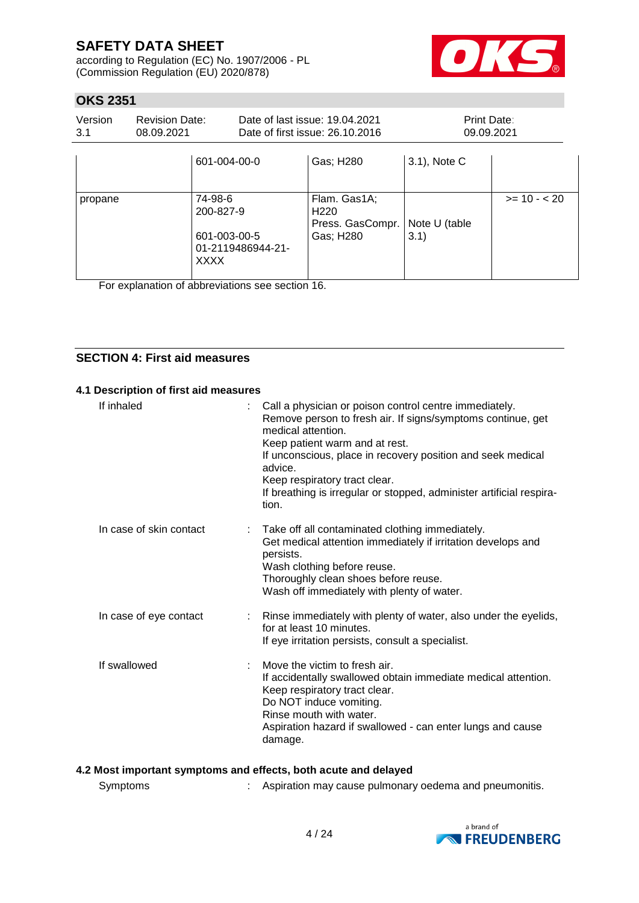according to Regulation (EC) No. 1907/2006 - PL (Commission Regulation (EU) 2020/878)



## **OKS 2351**

| Version<br>3.1 | <b>Revision Date:</b><br>08.09.2021 |                                                                          | Date of last issue: 19.04.2021<br>Date of first issue: 26.10.2016 |                                                                   | Print Date:<br>09.09.2021 |              |
|----------------|-------------------------------------|--------------------------------------------------------------------------|-------------------------------------------------------------------|-------------------------------------------------------------------|---------------------------|--------------|
|                |                                     | 601-004-00-0                                                             |                                                                   | Gas; H280                                                         | 3.1), Note C              |              |
| propane        |                                     | 74-98-6<br>200-827-9<br>601-003-00-5<br>01-2119486944-21-<br><b>XXXX</b> |                                                                   | Flam. Gas1A;<br>H <sub>220</sub><br>Press. GasCompr.<br>Gas; H280 | Note U (table<br>3.1)     | $>= 10 - 20$ |

For explanation of abbreviations see section 16.

### **SECTION 4: First aid measures**

#### **4.1 Description of first aid measures**

| If inhaled              | Call a physician or poison control centre immediately.<br>Remove person to fresh air. If signs/symptoms continue, get<br>medical attention.<br>Keep patient warm and at rest.<br>If unconscious, place in recovery position and seek medical<br>advice.<br>Keep respiratory tract clear.<br>If breathing is irregular or stopped, administer artificial respira-<br>tion. |
|-------------------------|---------------------------------------------------------------------------------------------------------------------------------------------------------------------------------------------------------------------------------------------------------------------------------------------------------------------------------------------------------------------------|
| In case of skin contact | Take off all contaminated clothing immediately.<br>Get medical attention immediately if irritation develops and<br>persists.<br>Wash clothing before reuse.<br>Thoroughly clean shoes before reuse.<br>Wash off immediately with plenty of water.                                                                                                                         |
| In case of eye contact  | : Rinse immediately with plenty of water, also under the eyelids,<br>for at least 10 minutes.<br>If eye irritation persists, consult a specialist.                                                                                                                                                                                                                        |
| If swallowed            | Move the victim to fresh air.<br>If accidentally swallowed obtain immediate medical attention.<br>Keep respiratory tract clear.<br>Do NOT induce vomiting.<br>Rinse mouth with water.<br>Aspiration hazard if swallowed - can enter lungs and cause<br>damage.                                                                                                            |

## **4.2 Most important symptoms and effects, both acute and delayed**

| Symptoms |  | Aspiration may cause pulmonary oedema and pneumonitis. |
|----------|--|--------------------------------------------------------|
|----------|--|--------------------------------------------------------|

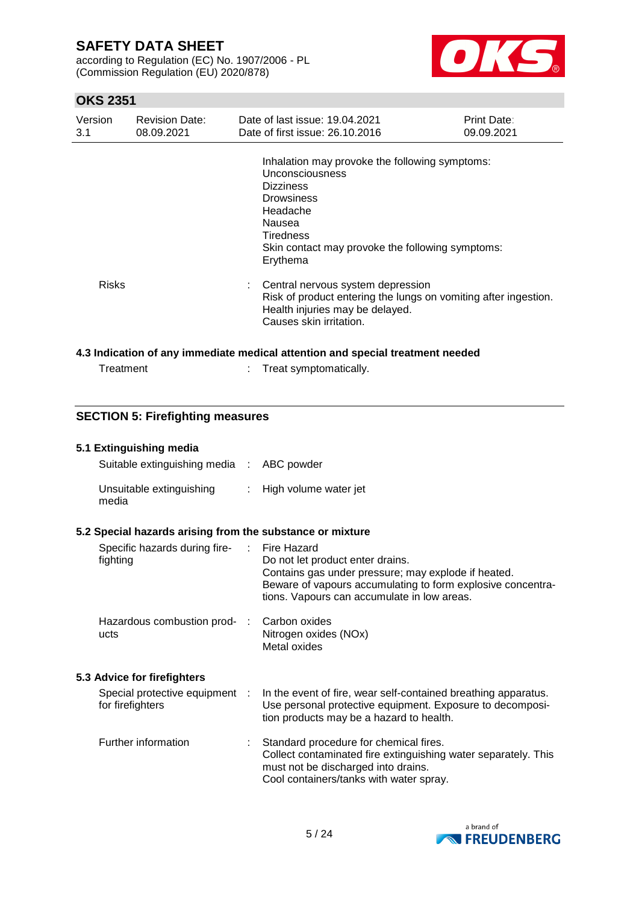according to Regulation (EC) No. 1907/2006 - PL (Commission Regulation (EU) 2020/878)



## **OKS 2351**

| Version<br>3.1 | <b>Revision Date:</b><br>08.09.2021 | Date of last issue: 19.04.2021<br>Date of first issue: 26.10.2016                                                                                                                                             | Print Date:<br>09.09.2021 |
|----------------|-------------------------------------|---------------------------------------------------------------------------------------------------------------------------------------------------------------------------------------------------------------|---------------------------|
|                |                                     | Inhalation may provoke the following symptoms:<br>Unconsciousness<br><b>Dizziness</b><br><b>Drowsiness</b><br>Headache<br>Nausea<br>Tiredness<br>Skin contact may provoke the following symptoms:<br>Erythema |                           |
| <b>Risks</b>   |                                     | Central nervous system depression<br>÷.<br>Risk of product entering the lungs on vomiting after ingestion.<br>Health injuries may be delayed.<br>Causes skin irritation.                                      |                           |
|                |                                     | 4.3 Indication of any immediate medical attention and special treatment needed                                                                                                                                |                           |

| Treatment | Treat symptomatically. |
|-----------|------------------------|
|           |                        |

## **SECTION 5: Firefighting measures**

| 5.1 Extinguishing media                                   |                               |                                                                                                                                                                                                                      |
|-----------------------------------------------------------|-------------------------------|----------------------------------------------------------------------------------------------------------------------------------------------------------------------------------------------------------------------|
| Suitable extinguishing media :                            |                               | ABC powder                                                                                                                                                                                                           |
| Unsuitable extinguishing<br>media                         | ÷.                            | High volume water jet                                                                                                                                                                                                |
| 5.2 Special hazards arising from the substance or mixture |                               |                                                                                                                                                                                                                      |
| Specific hazards during fire-<br>fighting                 | $\mathcal{L}^{\mathcal{L}}$ . | Fire Hazard<br>Do not let product enter drains.<br>Contains gas under pressure; may explode if heated.<br>Beware of vapours accumulating to form explosive concentra-<br>tions. Vapours can accumulate in low areas. |
| Hazardous combustion prod- :<br>ucts                      |                               | Carbon oxides<br>Nitrogen oxides (NOx)<br>Metal oxides                                                                                                                                                               |
| 5.3 Advice for firefighters                               |                               |                                                                                                                                                                                                                      |
| Special protective equipment :<br>for firefighters        |                               | In the event of fire, wear self-contained breathing apparatus.<br>Use personal protective equipment. Exposure to decomposi-<br>tion products may be a hazard to health.                                              |
| Further information                                       |                               | Standard procedure for chemical fires.<br>Collect contaminated fire extinguishing water separately. This<br>must not be discharged into drains.<br>Cool containers/tanks with water spray.                           |

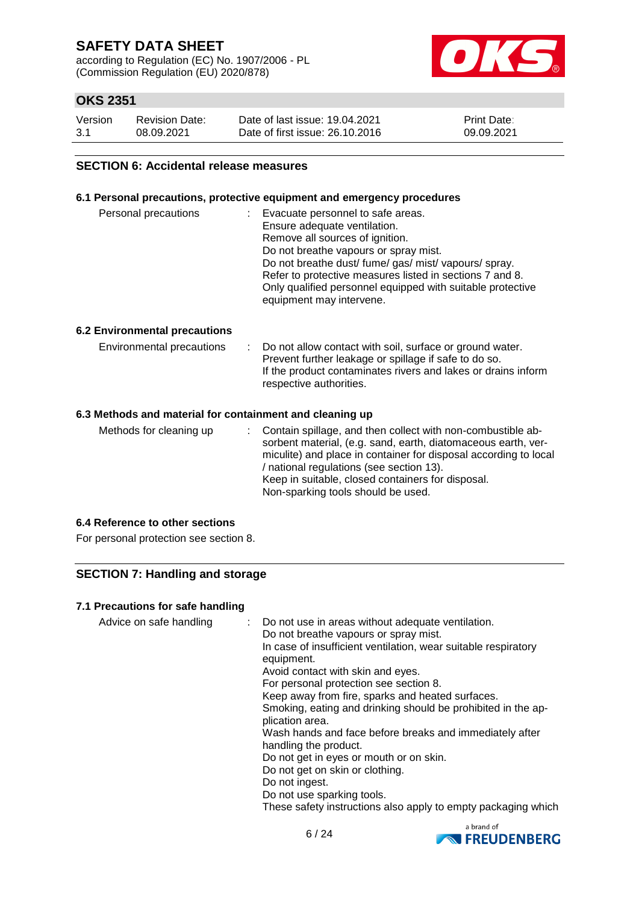according to Regulation (EC) No. 1907/2006 - PL (Commission Regulation (EU) 2020/878)



## **OKS 2351**

| Version | <b>Revision Date:</b> | Date of last issue: 19.04.2021  | <b>Print Date:</b> |
|---------|-----------------------|---------------------------------|--------------------|
| 3.1     | 08.09.2021            | Date of first issue: 26.10.2016 | 09.09.2021         |

#### **SECTION 6: Accidental release measures**

#### **6.1 Personal precautions, protective equipment and emergency procedures**

| Personal precautions | Evacuate personnel to safe areas.<br>÷<br>Ensure adequate ventilation.<br>Remove all sources of ignition.<br>Do not breathe vapours or spray mist.<br>Do not breathe dust/ fume/ gas/ mist/ vapours/ spray.<br>Refer to protective measures listed in sections 7 and 8.<br>Only qualified personnel equipped with suitable protective |
|----------------------|---------------------------------------------------------------------------------------------------------------------------------------------------------------------------------------------------------------------------------------------------------------------------------------------------------------------------------------|
|                      | equipment may intervene.                                                                                                                                                                                                                                                                                                              |

#### **6.2 Environmental precautions**

| Environmental precautions | Do not allow contact with soil, surface or ground water.<br>Prevent further leakage or spillage if safe to do so.<br>If the product contaminates rivers and lakes or drains inform<br>respective authorities. |
|---------------------------|---------------------------------------------------------------------------------------------------------------------------------------------------------------------------------------------------------------|
|                           |                                                                                                                                                                                                               |

#### **6.3 Methods and material for containment and cleaning up**

#### **6.4 Reference to other sections**

For personal protection see section 8.

### **SECTION 7: Handling and storage**

#### **7.1 Precautions for safe handling**

| Advice on safe handling | : Do not use in areas without adequate ventilation.<br>Do not breathe vapours or spray mist.<br>In case of insufficient ventilation, wear suitable respiratory<br>equipment.<br>Avoid contact with skin and eyes.<br>For personal protection see section 8.<br>Keep away from fire, sparks and heated surfaces.<br>Smoking, eating and drinking should be prohibited in the ap-<br>plication area.<br>Wash hands and face before breaks and immediately after<br>handling the product.<br>Do not get in eyes or mouth or on skin.<br>Do not get on skin or clothing.<br>Do not ingest.<br>Do not use sparking tools.<br>These safety instructions also apply to empty packaging which |
|-------------------------|---------------------------------------------------------------------------------------------------------------------------------------------------------------------------------------------------------------------------------------------------------------------------------------------------------------------------------------------------------------------------------------------------------------------------------------------------------------------------------------------------------------------------------------------------------------------------------------------------------------------------------------------------------------------------------------|
|-------------------------|---------------------------------------------------------------------------------------------------------------------------------------------------------------------------------------------------------------------------------------------------------------------------------------------------------------------------------------------------------------------------------------------------------------------------------------------------------------------------------------------------------------------------------------------------------------------------------------------------------------------------------------------------------------------------------------|

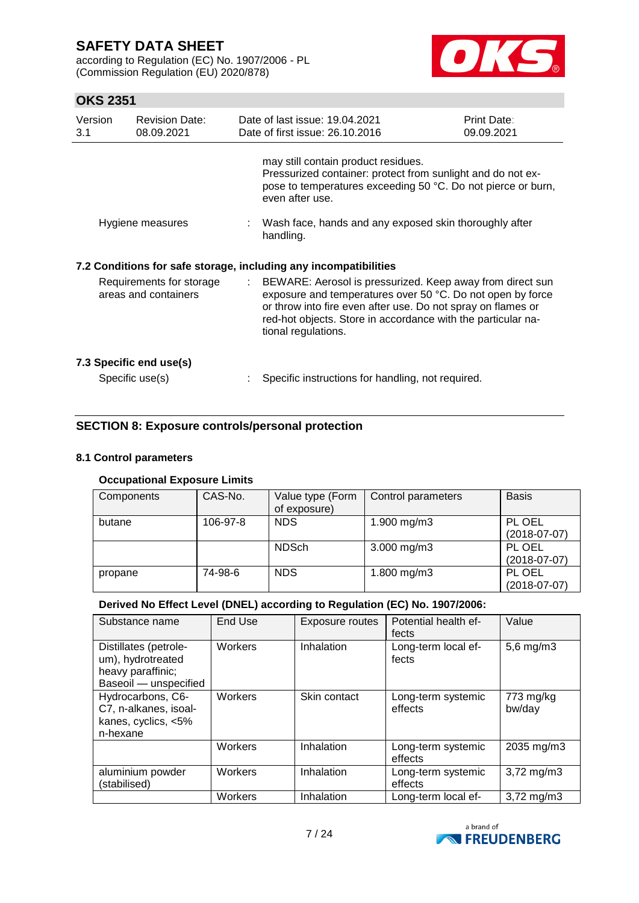according to Regulation (EC) No. 1907/2006 - PL (Commission Regulation (EU) 2020/878)



## **OKS 2351**

| Version<br>3.1                                   | <b>Revision Date:</b><br>08.09.2021        | Date of last issue: 19.04.2021<br>Date of first issue: 26.10.2016                                                                                                                                                                                                                | Print Date:<br>09.09.2021 |
|--------------------------------------------------|--------------------------------------------|----------------------------------------------------------------------------------------------------------------------------------------------------------------------------------------------------------------------------------------------------------------------------------|---------------------------|
|                                                  |                                            | may still contain product residues.<br>Pressurized container: protect from sunlight and do not ex-<br>pose to temperatures exceeding 50 °C. Do not pierce or burn,<br>even after use.                                                                                            |                           |
| Hygiene measures                                 |                                            | : Wash face, hands and any exposed skin thoroughly after<br>handling.                                                                                                                                                                                                            |                           |
|                                                  |                                            | 7.2 Conditions for safe storage, including any incompatibilities                                                                                                                                                                                                                 |                           |
| Requirements for storage<br>areas and containers |                                            | : BEWARE: Aerosol is pressurized. Keep away from direct sun<br>exposure and temperatures over 50 °C. Do not open by force<br>or throw into fire even after use. Do not spray on flames or<br>red-hot objects. Store in accordance with the particular na-<br>tional regulations. |                           |
|                                                  | 7.3 Specific end use(s)<br>Specific use(s) | Specific instructions for handling, not required.                                                                                                                                                                                                                                |                           |
|                                                  |                                            |                                                                                                                                                                                                                                                                                  |                           |

### **SECTION 8: Exposure controls/personal protection**

### **8.1 Control parameters**

#### **Occupational Exposure Limits**

| Components | CAS-No.  | Value type (Form<br>of exposure) | Control parameters | <b>Basis</b>             |
|------------|----------|----------------------------------|--------------------|--------------------------|
| butane     | 106-97-8 | <b>NDS</b>                       | 1.900 mg/m3        | PL OEL<br>$(2018-07-07)$ |
|            |          | <b>NDSch</b>                     | $3.000$ mg/m $3$   | PL OEL<br>$(2018-07-07)$ |
| propane    | 74-98-6  | <b>NDS</b>                       | 1.800 mg/m3        | PL OEL<br>$(2018-07-07)$ |

#### **Derived No Effect Level (DNEL) according to Regulation (EC) No. 1907/2006:**

| Substance name                                                                           | End Use | Exposure routes | Potential health ef-<br>fects | Value                   |
|------------------------------------------------------------------------------------------|---------|-----------------|-------------------------------|-------------------------|
| Distillates (petrole-<br>um), hydrotreated<br>heavy paraffinic;<br>Baseoil - unspecified | Workers | Inhalation      | Long-term local ef-<br>fects  | $5,6$ mg/m $3$          |
| Hydrocarbons, C6-<br>C7, n-alkanes, isoal-<br>kanes, cyclics, <5%<br>n-hexane            | Workers | Skin contact    | Long-term systemic<br>effects | 773 mg/kg<br>bw/day     |
|                                                                                          | Workers | Inhalation      | Long-term systemic<br>effects | 2035 mg/m3              |
| aluminium powder<br>(stabilised)                                                         | Workers | Inhalation      | Long-term systemic<br>effects | $3,72 \,\mathrm{mg/m3}$ |
|                                                                                          | Workers | Inhalation      | Long-term local ef-           | $3,72 \,\mathrm{mg/m}$  |

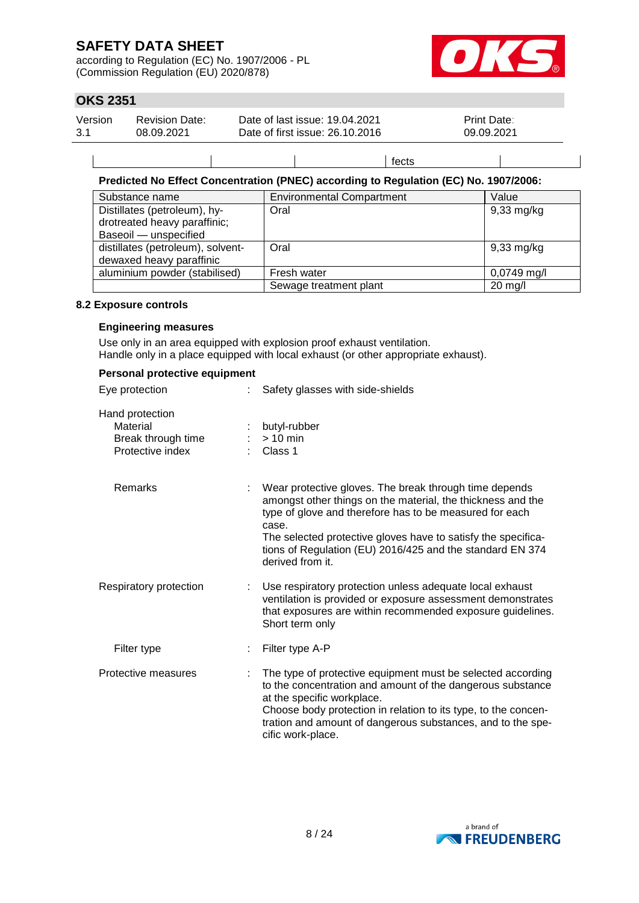according to Regulation (EC) No. 1907/2006 - PL (Commission Regulation (EU) 2020/878)



## **OKS 2351**

| 3.1<br>Date of first issue: 26.10.2016<br>09.09.2021<br>08.09.2021 | Version | <b>Revision Date:</b> | Date of last issue: 19.04.2021 | <b>Print Date:</b> |  |
|--------------------------------------------------------------------|---------|-----------------------|--------------------------------|--------------------|--|
|--------------------------------------------------------------------|---------|-----------------------|--------------------------------|--------------------|--|

### **Predicted No Effect Concentration (PNEC) according to Regulation (EC) No. 1907/2006:**

| Substance name                    | <b>Environmental Compartment</b> | Value                |
|-----------------------------------|----------------------------------|----------------------|
| Distillates (petroleum), hy-      | Oral                             | $9,33$ mg/kg         |
| drotreated heavy paraffinic;      |                                  |                      |
| Baseoil - unspecified             |                                  |                      |
| distillates (petroleum), solvent- | Oral                             | $9,33 \text{ mg/kg}$ |
| dewaxed heavy paraffinic          |                                  |                      |
| aluminium powder (stabilised)     | Fresh water                      | $0,0749$ mg/l        |
|                                   | Sewage treatment plant           | $20$ mg/l            |

fects

#### **8.2 Exposure controls**

#### **Engineering measures**

Use only in an area equipped with explosion proof exhaust ventilation. Handle only in a place equipped with local exhaust (or other appropriate exhaust).

| Personal protective equipment                                         |    |                                                                                                                                                                                                                                                                                                                                             |
|-----------------------------------------------------------------------|----|---------------------------------------------------------------------------------------------------------------------------------------------------------------------------------------------------------------------------------------------------------------------------------------------------------------------------------------------|
| Eye protection                                                        |    | Safety glasses with side-shields                                                                                                                                                                                                                                                                                                            |
| Hand protection<br>Material<br>Break through time<br>Protective index |    | butyl-rubber<br>$>10$ min<br>Class 1                                                                                                                                                                                                                                                                                                        |
| Remarks                                                               |    | Wear protective gloves. The break through time depends<br>amongst other things on the material, the thickness and the<br>type of glove and therefore has to be measured for each<br>case.<br>The selected protective gloves have to satisfy the specifica-<br>tions of Regulation (EU) 2016/425 and the standard EN 374<br>derived from it. |
| Respiratory protection                                                |    | Use respiratory protection unless adequate local exhaust<br>ventilation is provided or exposure assessment demonstrates<br>that exposures are within recommended exposure guidelines.<br>Short term only                                                                                                                                    |
| Filter type                                                           |    | Filter type A-P                                                                                                                                                                                                                                                                                                                             |
| Protective measures                                                   | ÷. | The type of protective equipment must be selected according<br>to the concentration and amount of the dangerous substance<br>at the specific workplace.<br>Choose body protection in relation to its type, to the concen-<br>tration and amount of dangerous substances, and to the spe-<br>cific work-place.                               |

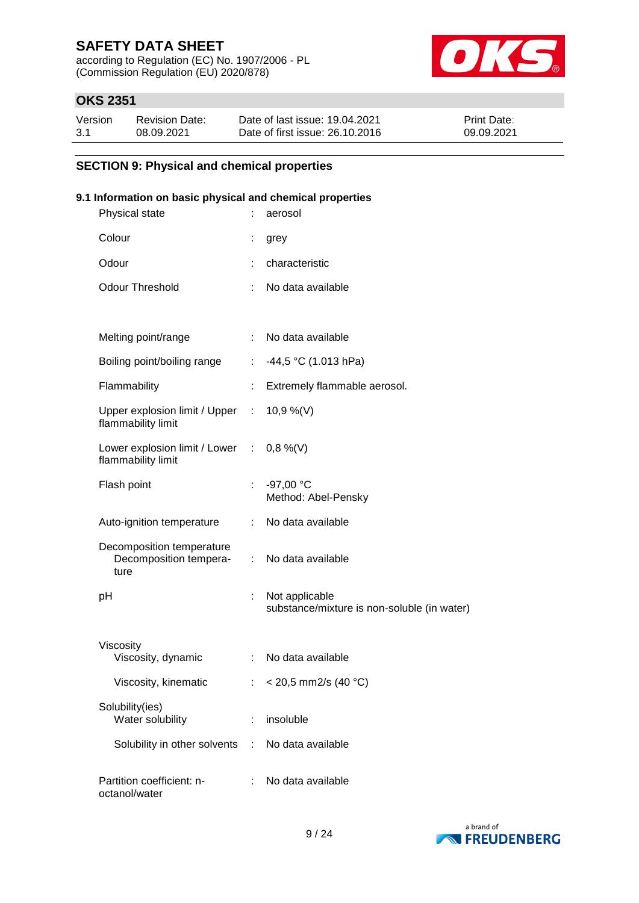according to Regulation (EC) No. 1907/2006 - PL (Commission Regulation (EU) 2020/878)



## **OKS 2351**

| Version | <b>Revision Date:</b> | Date of last issue: 19.04.2021  | <b>Print Date:</b> |
|---------|-----------------------|---------------------------------|--------------------|
| 3.1     | 08.09.2021            | Date of first issue: 26.10.2016 | 09.09.2021         |

### **SECTION 9: Physical and chemical properties**

### **9.1 Information on basic physical and chemical properties**

| Physical state                                                 |                           | aerosol                                                       |
|----------------------------------------------------------------|---------------------------|---------------------------------------------------------------|
| Colour                                                         | t                         | grey                                                          |
| Odour                                                          |                           | characteristic                                                |
| <b>Odour Threshold</b>                                         | ÷.                        | No data available                                             |
|                                                                |                           |                                                               |
| Melting point/range                                            | ÷.                        | No data available                                             |
| Boiling point/boiling range                                    |                           | $-44,5$ °C (1.013 hPa)                                        |
| Flammability                                                   |                           | Extremely flammable aerosol.                                  |
| Upper explosion limit / Upper :<br>flammability limit          |                           | 10,9 %(V)                                                     |
| Lower explosion limit / Lower : 0,8 %(V)<br>flammability limit |                           |                                                               |
| Flash point                                                    |                           | $-97,00 °C$<br>Method: Abel-Pensky                            |
| Auto-ignition temperature                                      | $\mathbb{R}^{\mathbb{Z}}$ | No data available                                             |
| Decomposition temperature<br>Decomposition tempera-<br>ture    |                           | : No data available                                           |
| рH                                                             | t.                        | Not applicable<br>substance/mixture is non-soluble (in water) |
| Viscosity<br>Viscosity, dynamic                                |                           | No data available                                             |
| Viscosity, kinematic                                           |                           | < 20,5 mm2/s (40 °C)                                          |
| Solubility(ies)<br>Water solubility                            | ÷.                        | insoluble                                                     |
| Solubility in other solvents                                   | ÷                         | No data available                                             |
| Partition coefficient: n-<br>octanol/water                     | ÷                         | No data available                                             |

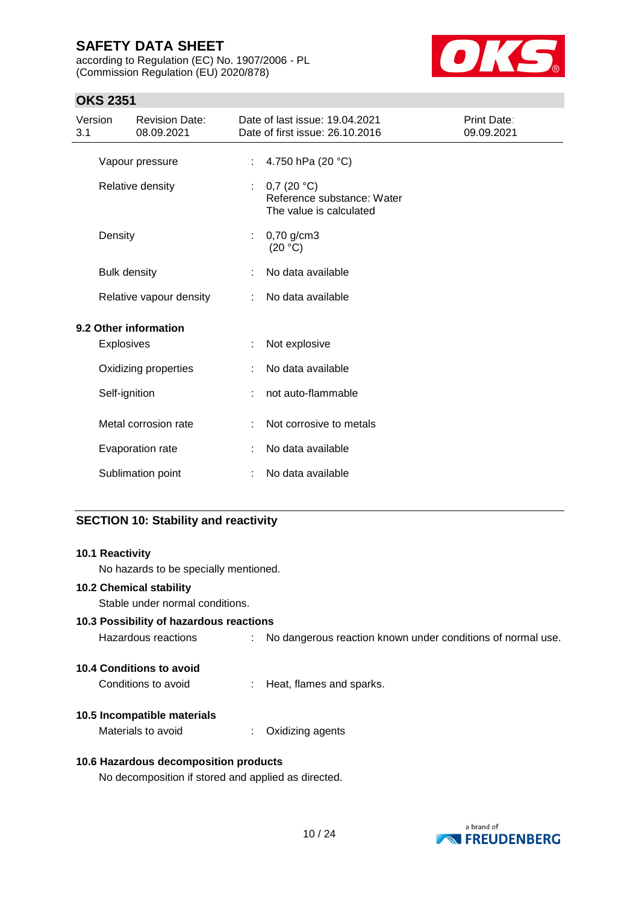according to Regulation (EC) No. 1907/2006 - PL (Commission Regulation (EU) 2020/878)



## **OKS 2351**

| Version<br>3.1 |                     | <b>Revision Date:</b><br>08.09.2021 |    | Date of last issue: 19.04.2021<br>Date of first issue: 26.10.2016   | Print Date:<br>09.09.2021 |
|----------------|---------------------|-------------------------------------|----|---------------------------------------------------------------------|---------------------------|
|                |                     | Vapour pressure                     | ÷. | 4.750 hPa (20 °C)                                                   |                           |
|                |                     | Relative density                    | ÷  | 0,7(20 °C)<br>Reference substance: Water<br>The value is calculated |                           |
|                | Density             |                                     | ÷. | $0,70$ g/cm3<br>(20 °C)                                             |                           |
|                | <b>Bulk density</b> |                                     | ÷  | No data available                                                   |                           |
|                |                     | Relative vapour density             | ÷  | No data available                                                   |                           |
|                |                     | 9.2 Other information               |    |                                                                     |                           |
|                | Explosives          |                                     | ÷  | Not explosive                                                       |                           |
|                |                     | Oxidizing properties                |    | No data available                                                   |                           |
|                | Self-ignition       |                                     | ÷  | not auto-flammable                                                  |                           |
|                |                     | Metal corrosion rate                | ÷  | Not corrosive to metals                                             |                           |
|                |                     | Evaporation rate                    | ÷  | No data available                                                   |                           |
|                |                     | Sublimation point                   |    | No data available                                                   |                           |

## **SECTION 10: Stability and reactivity**

| 10.1 Reactivity                                     |                                                               |
|-----------------------------------------------------|---------------------------------------------------------------|
| No hazards to be specially mentioned.               |                                                               |
| <b>10.2 Chemical stability</b>                      |                                                               |
| Stable under normal conditions.                     |                                                               |
| 10.3 Possibility of hazardous reactions             |                                                               |
| Hazardous reactions                                 | : No dangerous reaction known under conditions of normal use. |
| 10.4 Conditions to avoid                            |                                                               |
| Conditions to avoid                                 | Heat, flames and sparks.                                      |
| 10.5 Incompatible materials                         |                                                               |
| Materials to avoid                                  | Oxidizing agents                                              |
| 10.6 Hazardous decomposition products               |                                                               |
| No decomposition if stored and applied as directed. |                                                               |

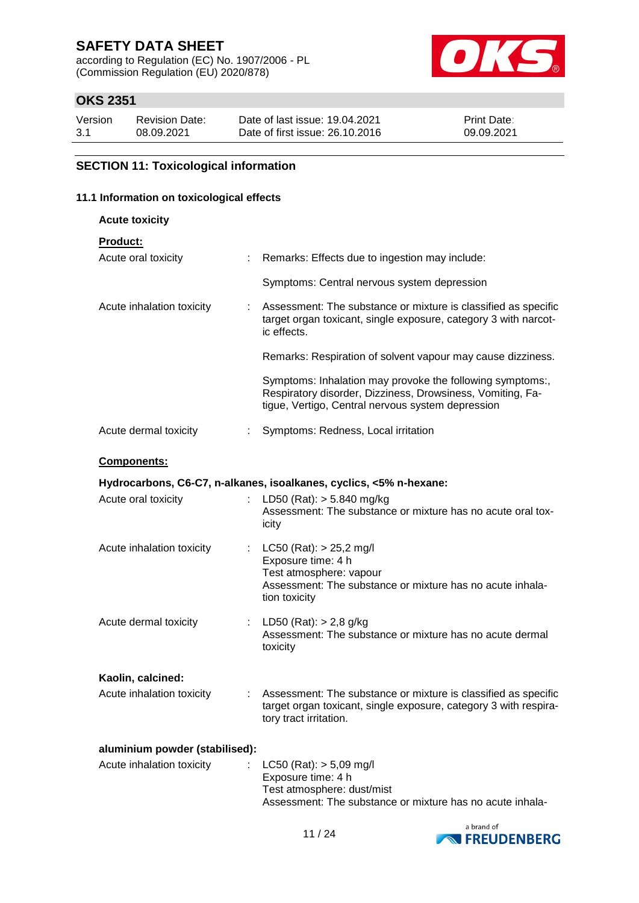according to Regulation (EC) No. 1907/2006 - PL (Commission Regulation (EU) 2020/878)



## **OKS 2351**

| Version | <b>Revision Date:</b> | Date of last issue: 19.04.2021  | <b>Print Date:</b> |
|---------|-----------------------|---------------------------------|--------------------|
| 3.1     | 08.09.2021            | Date of first issue: 26.10.2016 | 09.09.2021         |

### **SECTION 11: Toxicological information**

### **11.1 Information on toxicological effects**

| <b>Acute toxicity</b>                            |                                                                                                                                                                              |
|--------------------------------------------------|------------------------------------------------------------------------------------------------------------------------------------------------------------------------------|
| <b>Product:</b>                                  |                                                                                                                                                                              |
| Acute oral toxicity<br>$\mathbb{R}^{\mathbb{Z}}$ | Remarks: Effects due to ingestion may include:                                                                                                                               |
|                                                  | Symptoms: Central nervous system depression                                                                                                                                  |
| Acute inhalation toxicity                        | Assessment: The substance or mixture is classified as specific<br>target organ toxicant, single exposure, category 3 with narcot-<br>ic effects.                             |
|                                                  | Remarks: Respiration of solvent vapour may cause dizziness.                                                                                                                  |
|                                                  | Symptoms: Inhalation may provoke the following symptoms:,<br>Respiratory disorder, Dizziness, Drowsiness, Vomiting, Fa-<br>tigue, Vertigo, Central nervous system depression |
| Acute dermal toxicity<br>÷                       | Symptoms: Redness, Local irritation                                                                                                                                          |
| <b>Components:</b>                               |                                                                                                                                                                              |
|                                                  | Hydrocarbons, C6-C7, n-alkanes, isoalkanes, cyclics, <5% n-hexane:                                                                                                           |
| Acute oral toxicity                              | LD50 (Rat): $> 5.840$ mg/kg<br>Assessment: The substance or mixture has no acute oral tox-<br>icity                                                                          |
| Acute inhalation toxicity                        | : $LC50$ (Rat): $> 25,2$ mg/l<br>Exposure time: 4 h<br>Test atmosphere: vapour<br>Assessment: The substance or mixture has no acute inhala-<br>tion toxicity                 |
| Acute dermal toxicity                            | : LD50 (Rat): $> 2.8$ g/kg<br>Assessment: The substance or mixture has no acute dermal<br>toxicity                                                                           |
| Kaolin, calcined:                                |                                                                                                                                                                              |
| Acute inhalation toxicity                        | Assessment: The substance or mixture is classified as specific<br>target organ toxicant, single exposure, category 3 with respira-<br>tory tract irritation.                 |
| aluminium powder (stabilised):                   |                                                                                                                                                                              |
| Acute inhalation toxicity                        | $LC50$ (Rat): $> 5,09$ mg/l<br>Exposure time: 4 h<br>Test atmosphere: dust/mist<br>Assessment: The substance or mixture has no acute inhala-                                 |

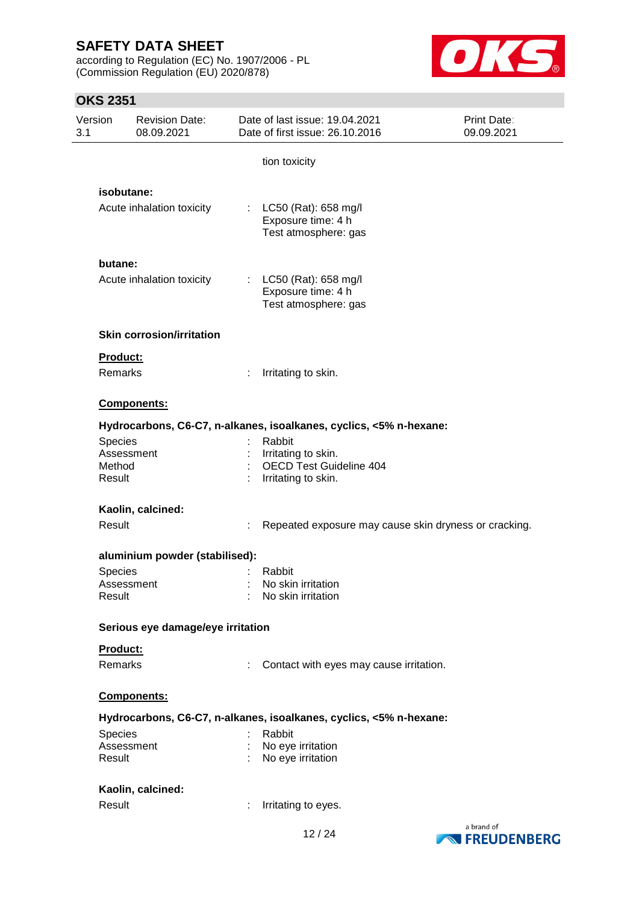according to Regulation (EC) No. 1907/2006 - PL (Commission Regulation (EU) 2020/878)



## **OKS 2351**

| Version<br>3.1 | <b>Revision Date:</b><br>08.09.2021       | Date of last issue: 19.04.2021<br>Date of first issue: 26.10.2016                      | <b>Print Date:</b><br>09.09.2021 |
|----------------|-------------------------------------------|----------------------------------------------------------------------------------------|----------------------------------|
|                |                                           | tion toxicity                                                                          |                                  |
|                | isobutane:                                |                                                                                        |                                  |
|                | Acute inhalation toxicity                 | LC50 (Rat): 658 mg/l<br>÷<br>Exposure time: 4 h<br>Test atmosphere: gas                |                                  |
|                | butane:                                   |                                                                                        |                                  |
|                | Acute inhalation toxicity                 | LC50 (Rat): 658 mg/l<br>$\mathbb{Z}^n$<br>Exposure time: 4 h<br>Test atmosphere: gas   |                                  |
|                | <b>Skin corrosion/irritation</b>          |                                                                                        |                                  |
|                | Product:                                  |                                                                                        |                                  |
|                | <b>Remarks</b>                            | Irritating to skin.                                                                    |                                  |
|                | Components:                               |                                                                                        |                                  |
|                |                                           | Hydrocarbons, C6-C7, n-alkanes, isoalkanes, cyclics, <5% n-hexane:                     |                                  |
|                | Species<br>Assessment<br>Method<br>Result | Rabbit<br>Irritating to skin.<br><b>OECD Test Guideline 404</b><br>Irritating to skin. |                                  |
|                | Kaolin, calcined:                         |                                                                                        |                                  |
|                | Result                                    | Repeated exposure may cause skin dryness or cracking.                                  |                                  |
|                | aluminium powder (stabilised):            |                                                                                        |                                  |
|                | Species                                   | Rabbit                                                                                 |                                  |
|                | Assessment<br>Result                      | No skin irritation<br>No skin irritation                                               |                                  |
|                | Serious eye damage/eye irritation         |                                                                                        |                                  |
|                | Product:                                  |                                                                                        |                                  |
|                | Remarks                                   | Contact with eyes may cause irritation.                                                |                                  |
|                | <b>Components:</b>                        |                                                                                        |                                  |
|                |                                           | Hydrocarbons, C6-C7, n-alkanes, isoalkanes, cyclics, <5% n-hexane:                     |                                  |
|                | Species                                   | Rabbit                                                                                 |                                  |
|                | Assessment<br>Result                      | No eye irritation<br>No eye irritation                                                 |                                  |
|                | Kaolin, calcined:                         |                                                                                        |                                  |
|                | Result                                    | Irritating to eyes.                                                                    |                                  |
|                |                                           |                                                                                        | a hrand of                       |

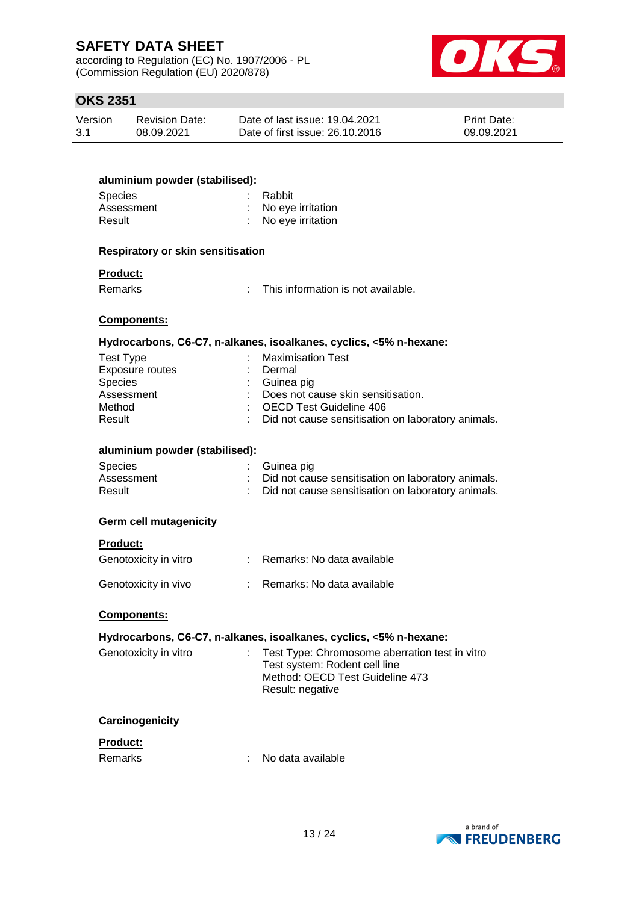according to Regulation (EC) No. 1907/2006 - PL (Commission Regulation (EU) 2020/878)



## **OKS 2351**

| Version | Revision Date: | Date of last issue: 19.04.2021  | <b>Print Date:</b> |
|---------|----------------|---------------------------------|--------------------|
| 3.1     | 08.09.2021     | Date of first issue: 26.10.2016 | 09.09.2021         |

| aluminium powder (stabilised):<br>Species<br>Assessment<br>Result                | Rabbit<br>: No eye irritation<br>No eye irritation                                                                                                                                                           |
|----------------------------------------------------------------------------------|--------------------------------------------------------------------------------------------------------------------------------------------------------------------------------------------------------------|
| <b>Respiratory or skin sensitisation</b>                                         |                                                                                                                                                                                                              |
| <b>Product:</b><br><b>Remarks</b>                                                | This information is not available.<br>t.                                                                                                                                                                     |
| <b>Components:</b>                                                               |                                                                                                                                                                                                              |
|                                                                                  | Hydrocarbons, C6-C7, n-alkanes, isoalkanes, cyclics, <5% n-hexane:                                                                                                                                           |
| <b>Test Type</b><br>Exposure routes<br>Species<br>Assessment<br>Method<br>Result | <b>Maximisation Test</b><br>Dermal<br>Guinea pig<br>Does not cause skin sensitisation.<br>: OECD Test Guideline 406<br>: Did not cause sensitisation on laboratory animals.                                  |
| aluminium powder (stabilised):                                                   |                                                                                                                                                                                                              |
| <b>Species</b><br>Assessment<br>Result                                           | Guinea pig<br>Did not cause sensitisation on laboratory animals.<br>Did not cause sensitisation on laboratory animals.                                                                                       |
| <b>Germ cell mutagenicity</b>                                                    |                                                                                                                                                                                                              |
| <b>Product:</b>                                                                  |                                                                                                                                                                                                              |
| Genotoxicity in vitro                                                            | : Remarks: No data available                                                                                                                                                                                 |
| Genotoxicity in vivo                                                             | : Remarks: No data available                                                                                                                                                                                 |
| Components:                                                                      |                                                                                                                                                                                                              |
| Genotoxicity in vitro                                                            | Hydrocarbons, C6-C7, n-alkanes, isoalkanes, cyclics, <5% n-hexane:<br>Test Type: Chromosome aberration test in vitro<br>Test system: Rodent cell line<br>Method: OECD Test Guideline 473<br>Result: negative |
| Carcinogenicity                                                                  |                                                                                                                                                                                                              |
| Product:<br>Remarks                                                              | No data available                                                                                                                                                                                            |

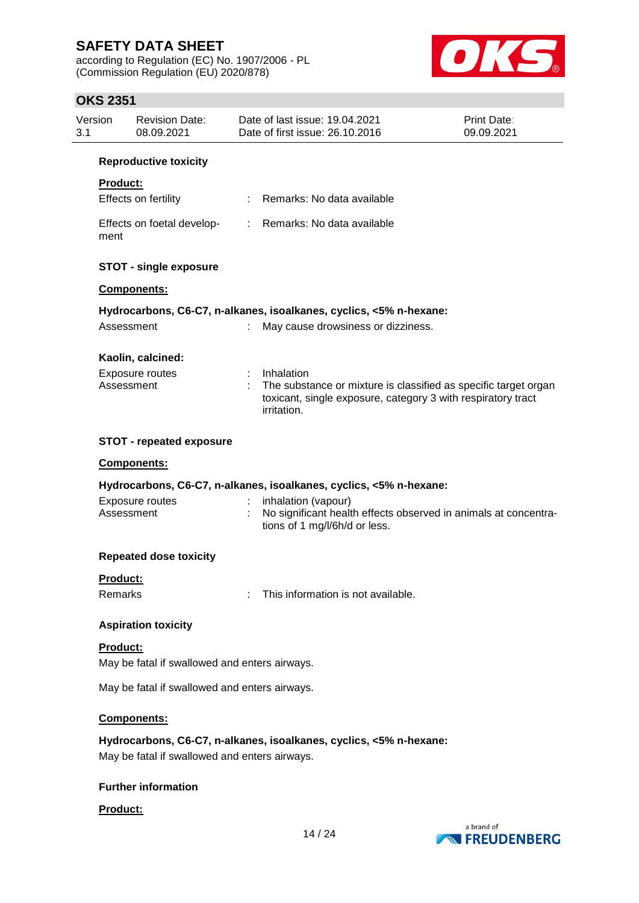according to Regulation (EC) No. 1907/2006 - PL (Commission Regulation (EU) 2020/878)



## **OKS 2351**

| Version<br>3.1 | <b>Revision Date:</b><br>08.09.2021                              |    | Date of last issue: 19.04.2021<br>Date of first issue: 26.10.2016                                                                                              | <b>Print Date:</b><br>09.09.2021 |
|----------------|------------------------------------------------------------------|----|----------------------------------------------------------------------------------------------------------------------------------------------------------------|----------------------------------|
|                | <b>Reproductive toxicity</b>                                     |    |                                                                                                                                                                |                                  |
|                | <b>Product:</b>                                                  |    |                                                                                                                                                                |                                  |
|                | Effects on fertility                                             | t. | Remarks: No data available                                                                                                                                     |                                  |
| ment           | Effects on foetal develop-                                       |    | : Remarks: No data available                                                                                                                                   |                                  |
|                | <b>STOT - single exposure</b>                                    |    |                                                                                                                                                                |                                  |
|                | Components:                                                      |    |                                                                                                                                                                |                                  |
|                |                                                                  |    | Hydrocarbons, C6-C7, n-alkanes, isoalkanes, cyclics, <5% n-hexane:                                                                                             |                                  |
|                | Assessment                                                       |    | May cause drowsiness or dizziness.                                                                                                                             |                                  |
|                | Kaolin, calcined:                                                |    |                                                                                                                                                                |                                  |
|                | <b>Exposure routes</b><br>Assessment                             |    | : Inhalation<br>The substance or mixture is classified as specific target organ<br>toxicant, single exposure, category 3 with respiratory tract<br>irritation. |                                  |
|                | <b>STOT - repeated exposure</b>                                  |    |                                                                                                                                                                |                                  |
|                | Components:                                                      |    |                                                                                                                                                                |                                  |
|                |                                                                  |    | Hydrocarbons, C6-C7, n-alkanes, isoalkanes, cyclics, <5% n-hexane:                                                                                             |                                  |
|                | Exposure routes<br>Assessment                                    |    | inhalation (vapour)<br>No significant health effects observed in animals at concentra-<br>tions of 1 mg/l/6h/d or less.                                        |                                  |
|                | <b>Repeated dose toxicity</b>                                    |    |                                                                                                                                                                |                                  |
|                | <b>Product:</b>                                                  |    |                                                                                                                                                                |                                  |
|                | Remarks                                                          |    | This information is not available.                                                                                                                             |                                  |
|                | <b>Aspiration toxicity</b>                                       |    |                                                                                                                                                                |                                  |
|                | <b>Product:</b><br>May be fatal if swallowed and enters airways. |    |                                                                                                                                                                |                                  |
|                | May be fatal if swallowed and enters airways.                    |    |                                                                                                                                                                |                                  |
|                | Components:                                                      |    |                                                                                                                                                                |                                  |
|                |                                                                  |    |                                                                                                                                                                |                                  |
|                | May be fatal if swallowed and enters airways.                    |    | Hydrocarbons, C6-C7, n-alkanes, isoalkanes, cyclics, <5% n-hexane:                                                                                             |                                  |
|                |                                                                  |    |                                                                                                                                                                |                                  |

## **Further information**

#### **Product:**

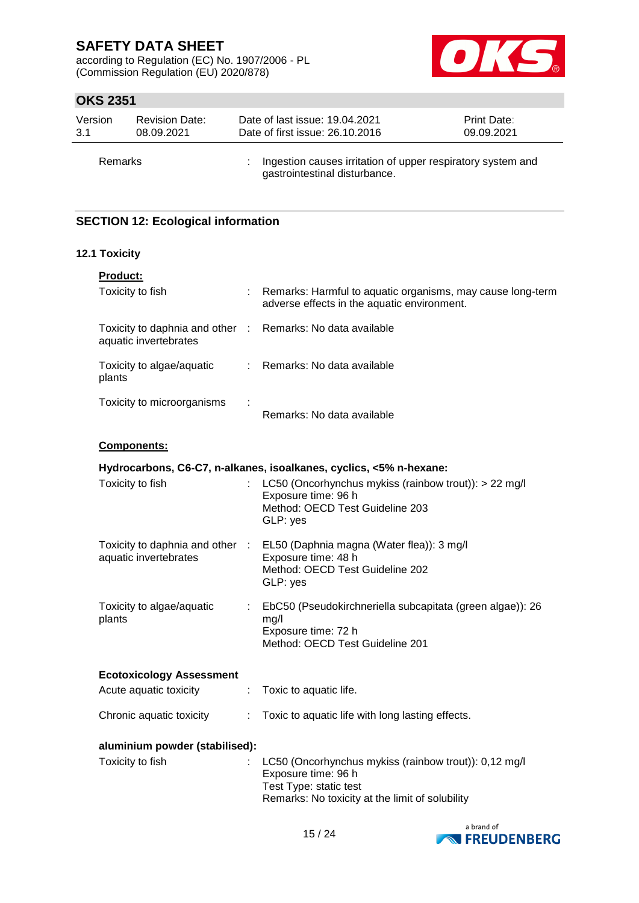according to Regulation (EC) No. 1907/2006 - PL (Commission Regulation (EU) 2020/878)



## **OKS 2351**

| Version | <b>Revision Date:</b> | Date of last issue: 19.04.2021                                                               | <b>Print Date:</b> |
|---------|-----------------------|----------------------------------------------------------------------------------------------|--------------------|
| 3.1     | 08.09.2021            | Date of first issue: 26.10.2016                                                              | 09.09.2021         |
| Remarks |                       | Ingestion causes irritation of upper respiratory system and<br>gastrointestinal disturbance. |                    |

## **SECTION 12: Ecological information**

### **12.1 Toxicity**

| <b>Product:</b>                                          |    |                                                                                                                                                           |
|----------------------------------------------------------|----|-----------------------------------------------------------------------------------------------------------------------------------------------------------|
| Toxicity to fish                                         |    | Remarks: Harmful to aquatic organisms, may cause long-term<br>adverse effects in the aquatic environment.                                                 |
| Toxicity to daphnia and other :<br>aquatic invertebrates |    | Remarks: No data available                                                                                                                                |
| Toxicity to algae/aquatic<br>plants                      | t. | Remarks: No data available                                                                                                                                |
| Toxicity to microorganisms                               |    | Remarks: No data available                                                                                                                                |
| Components:                                              |    |                                                                                                                                                           |
|                                                          |    | Hydrocarbons, C6-C7, n-alkanes, isoalkanes, cyclics, <5% n-hexane:                                                                                        |
| Toxicity to fish                                         |    | LC50 (Oncorhynchus mykiss (rainbow trout)): > 22 mg/l<br>Exposure time: 96 h<br>Method: OECD Test Guideline 203<br>GLP: yes                               |
| Toxicity to daphnia and other :<br>aquatic invertebrates |    | EL50 (Daphnia magna (Water flea)): 3 mg/l<br>Exposure time: 48 h<br>Method: OECD Test Guideline 202<br>GLP: yes                                           |
| Toxicity to algae/aquatic<br>plants                      |    | EbC50 (Pseudokirchneriella subcapitata (green algae)): 26<br>mg/l<br>Exposure time: 72 h<br>Method: OECD Test Guideline 201                               |
| <b>Ecotoxicology Assessment</b>                          |    |                                                                                                                                                           |
| Acute aquatic toxicity                                   | t. | Toxic to aquatic life.                                                                                                                                    |
| Chronic aquatic toxicity                                 | ÷. | Toxic to aquatic life with long lasting effects.                                                                                                          |
| aluminium powder (stabilised):                           |    |                                                                                                                                                           |
| Toxicity to fish                                         |    | LC50 (Oncorhynchus mykiss (rainbow trout)): 0,12 mg/l<br>Exposure time: 96 h<br>Test Type: static test<br>Remarks: No toxicity at the limit of solubility |
|                                                          |    |                                                                                                                                                           |

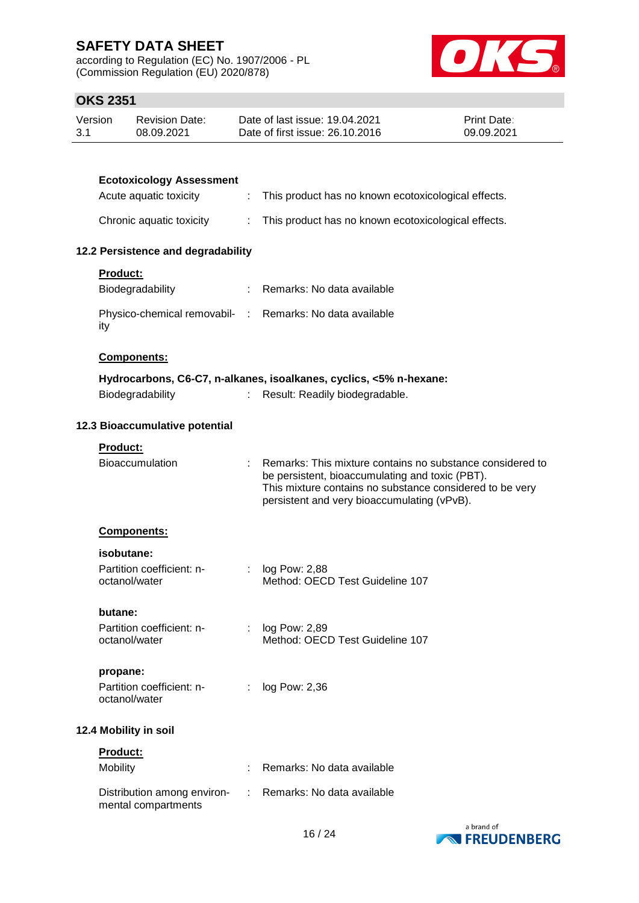according to Regulation (EC) No. 1907/2006 - PL (Commission Regulation (EU) 2020/878)



## **OKS 2351**

| Version | Revision Date: | Date of last issue: 19.04.2021  | <b>Print Date:</b> |
|---------|----------------|---------------------------------|--------------------|
| 3.1     | 08.09.2021     | Date of first issue: 26.10.2016 | 09.09.2021         |

| <b>Ecotoxicology Assessment</b>                                 |    |                                                                                                                                                                                                                           |
|-----------------------------------------------------------------|----|---------------------------------------------------------------------------------------------------------------------------------------------------------------------------------------------------------------------------|
| Acute aquatic toxicity                                          | ÷. | This product has no known ecotoxicological effects.                                                                                                                                                                       |
| Chronic aquatic toxicity                                        | t. | This product has no known ecotoxicological effects.                                                                                                                                                                       |
| 12.2 Persistence and degradability                              |    |                                                                                                                                                                                                                           |
| <b>Product:</b>                                                 |    |                                                                                                                                                                                                                           |
| Biodegradability                                                |    | : Remarks: No data available                                                                                                                                                                                              |
| Physico-chemical removabil- : Remarks: No data available<br>ity |    |                                                                                                                                                                                                                           |
| Components:                                                     |    |                                                                                                                                                                                                                           |
|                                                                 |    | Hydrocarbons, C6-C7, n-alkanes, isoalkanes, cyclics, <5% n-hexane:                                                                                                                                                        |
| Biodegradability                                                |    | Result: Readily biodegradable.                                                                                                                                                                                            |
| 12.3 Bioaccumulative potential                                  |    |                                                                                                                                                                                                                           |
| <b>Product:</b>                                                 |    |                                                                                                                                                                                                                           |
| <b>Bioaccumulation</b>                                          |    | : Remarks: This mixture contains no substance considered to<br>be persistent, bioaccumulating and toxic (PBT).<br>This mixture contains no substance considered to be very<br>persistent and very bioaccumulating (vPvB). |
| <b>Components:</b>                                              |    |                                                                                                                                                                                                                           |
| isobutane:                                                      |    |                                                                                                                                                                                                                           |
| Partition coefficient: n-<br>octanol/water                      |    | : $log Pow: 2,88$<br>Method: OECD Test Guideline 107                                                                                                                                                                      |
| butane:                                                         |    |                                                                                                                                                                                                                           |
| Partition coefficient: n-<br>octanol/water                      |    | : $log Pow: 2,89$<br>Method: OECD Test Guideline 107                                                                                                                                                                      |
| propane:                                                        |    |                                                                                                                                                                                                                           |
| Partition coefficient: n-<br>octanol/water                      |    | log Pow: 2,36                                                                                                                                                                                                             |
| 12.4 Mobility in soil                                           |    |                                                                                                                                                                                                                           |
| <b>Product:</b>                                                 |    |                                                                                                                                                                                                                           |
| Mobility                                                        |    | Remarks: No data available                                                                                                                                                                                                |
| Distribution among environ-<br>mental compartments              |    | Remarks: No data available                                                                                                                                                                                                |

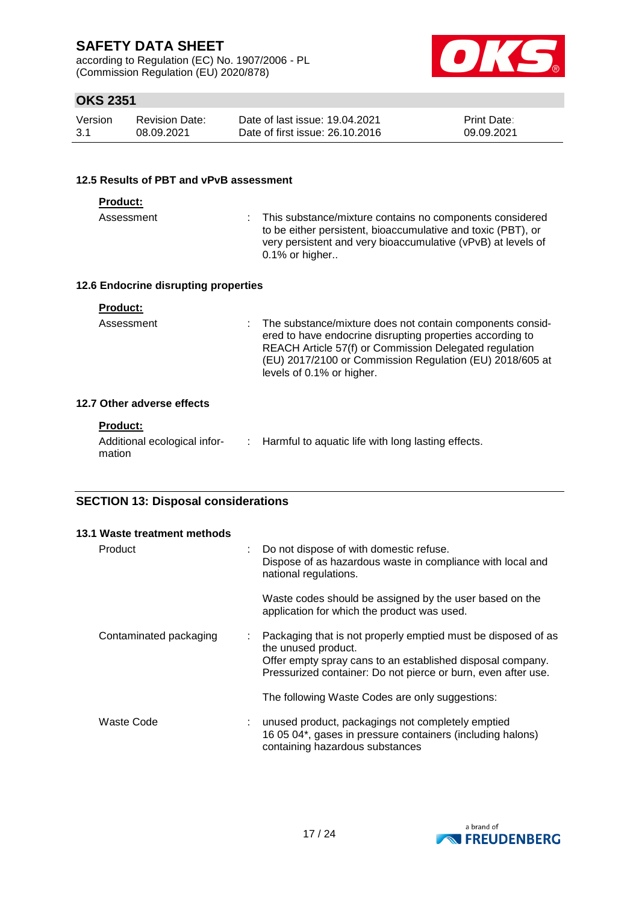according to Regulation (EC) No. 1907/2006 - PL (Commission Regulation (EU) 2020/878)



## **OKS 2351**

| Version | <b>Revision Date:</b> | Date of last issue: 19.04.2021  | <b>Print Date:</b> |
|---------|-----------------------|---------------------------------|--------------------|
| -3.1    | 08.09.2021            | Date of first issue: 26.10.2016 | 09.09.2021         |

#### **12.5 Results of PBT and vPvB assessment**

| <b>Product:</b>                      |                                                                                                                                                                                                                                                                           |
|--------------------------------------|---------------------------------------------------------------------------------------------------------------------------------------------------------------------------------------------------------------------------------------------------------------------------|
| Assessment                           | This substance/mixture contains no components considered<br>to be either persistent, bioaccumulative and toxic (PBT), or<br>very persistent and very bioaccumulative (vPvB) at levels of<br>$0.1\%$ or higher                                                             |
| 12.6 Endocrine disrupting properties |                                                                                                                                                                                                                                                                           |
| <b>Product:</b>                      |                                                                                                                                                                                                                                                                           |
| Assessment                           | The substance/mixture does not contain components consid-<br>ered to have endocrine disrupting properties according to<br>REACH Article 57(f) or Commission Delegated regulation<br>(EU) 2017/2100 or Commission Regulation (EU) 2018/605 at<br>levels of 0.1% or higher. |
| _____                                |                                                                                                                                                                                                                                                                           |

### **12.7 Other adverse effects**

| <b>Product:</b> |  |  |
|-----------------|--|--|
|                 |  |  |

| Additional ecological infor- | : Harmful to aquatic life with long lasting effects. |
|------------------------------|------------------------------------------------------|
| mation                       |                                                      |

### **SECTION 13: Disposal considerations**

| 13.1 Waste treatment methods                        |                                                                                                                                                                                                                     |
|-----------------------------------------------------|---------------------------------------------------------------------------------------------------------------------------------------------------------------------------------------------------------------------|
| Product<br>÷                                        | Do not dispose of with domestic refuse.<br>Dispose of as hazardous waste in compliance with local and<br>national regulations.                                                                                      |
|                                                     | Waste codes should be assigned by the user based on the<br>application for which the product was used.                                                                                                              |
| Contaminated packaging<br>$\mathbb{Z}^{\mathbb{Z}}$ | Packaging that is not properly emptied must be disposed of as<br>the unused product.<br>Offer empty spray cans to an established disposal company.<br>Pressurized container: Do not pierce or burn, even after use. |
|                                                     | The following Waste Codes are only suggestions:                                                                                                                                                                     |
| Waste Code                                          | unused product, packagings not completely emptied<br>16 05 04*, gases in pressure containers (including halons)<br>containing hazardous substances                                                                  |

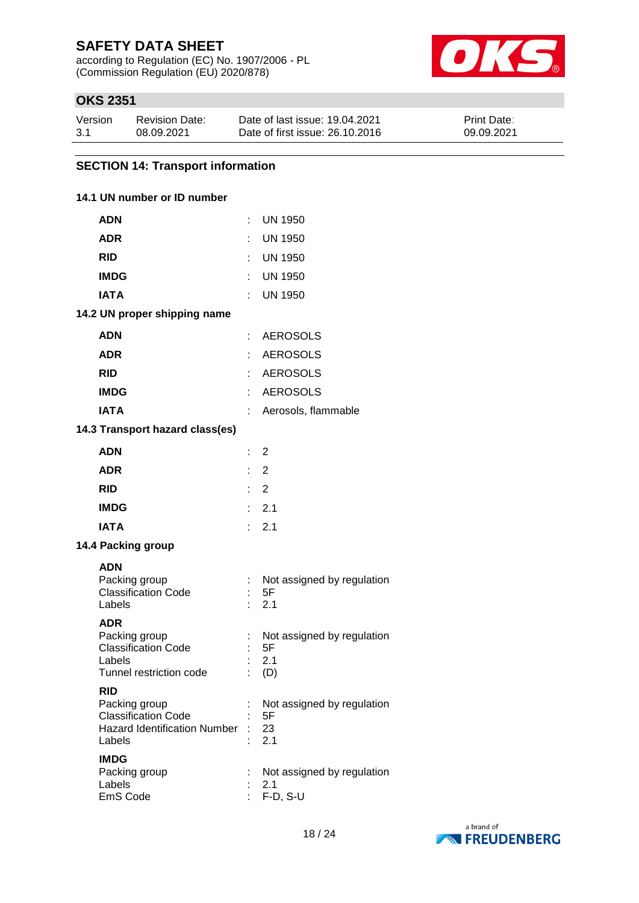according to Regulation (EC) No. 1907/2006 - PL (Commission Regulation (EU) 2020/878)



## **OKS 2351**

| Version | <b>Revision Date:</b> | Date of last issue: 19.04.2021  | Print Date: |
|---------|-----------------------|---------------------------------|-------------|
| 3.1     | 08.09.2021            | Date of first issue: 26.10.2016 | 09.09.2021  |

## **SECTION 14: Transport information**

### **14.1 UN number or ID number**

| <b>ADN</b>                                                                                                 | ÷                         | <b>UN 1950</b>                                  |
|------------------------------------------------------------------------------------------------------------|---------------------------|-------------------------------------------------|
| <b>ADR</b>                                                                                                 |                           | <b>UN 1950</b>                                  |
| <b>RID</b>                                                                                                 |                           | : UN 1950                                       |
| <b>IMDG</b>                                                                                                |                           | UN 1950                                         |
| <b>IATA</b>                                                                                                |                           | <b>UN 1950</b>                                  |
| 14.2 UN proper shipping name                                                                               |                           |                                                 |
| <b>ADN</b>                                                                                                 |                           | : AEROSOLS                                      |
| <b>ADR</b>                                                                                                 |                           | <b>AEROSOLS</b>                                 |
| <b>RID</b>                                                                                                 |                           | : AEROSOLS                                      |
| <b>IMDG</b>                                                                                                | ÷                         | <b>AEROSOLS</b>                                 |
| <b>IATA</b>                                                                                                | ÷                         | Aerosols, flammable                             |
| 14.3 Transport hazard class(es)                                                                            |                           |                                                 |
| <b>ADN</b>                                                                                                 | $\mathbb{R}^{\mathbb{Z}}$ | 2                                               |
| <b>ADR</b>                                                                                                 |                           | $\therefore$ 2                                  |
| <b>RID</b>                                                                                                 | t.                        | 2                                               |
| <b>IMDG</b>                                                                                                | t.                        | 2.1                                             |
| <b>IATA</b>                                                                                                | t.                        | 2.1                                             |
| 14.4 Packing group                                                                                         |                           |                                                 |
| <b>ADN</b><br>Packing group<br><b>Classification Code</b><br>Labels                                        | ÷                         | Not assigned by regulation<br>5F<br>2.1         |
| <b>ADR</b><br>Packing group<br><b>Classification Code</b><br>Labels<br>Tunnel restriction code             |                           | Not assigned by regulation<br>5F<br>2.1<br>(D)  |
| <b>RID</b><br>Packing group<br><b>Classification Code</b><br><b>Hazard Identification Number</b><br>Labels |                           | Not assigned by regulation<br>5F<br>23<br>2.1   |
| <b>IMDG</b><br>Packing group<br>Labels<br>EmS Code                                                         |                           | Not assigned by regulation<br>2.1<br>$F-D, S-U$ |

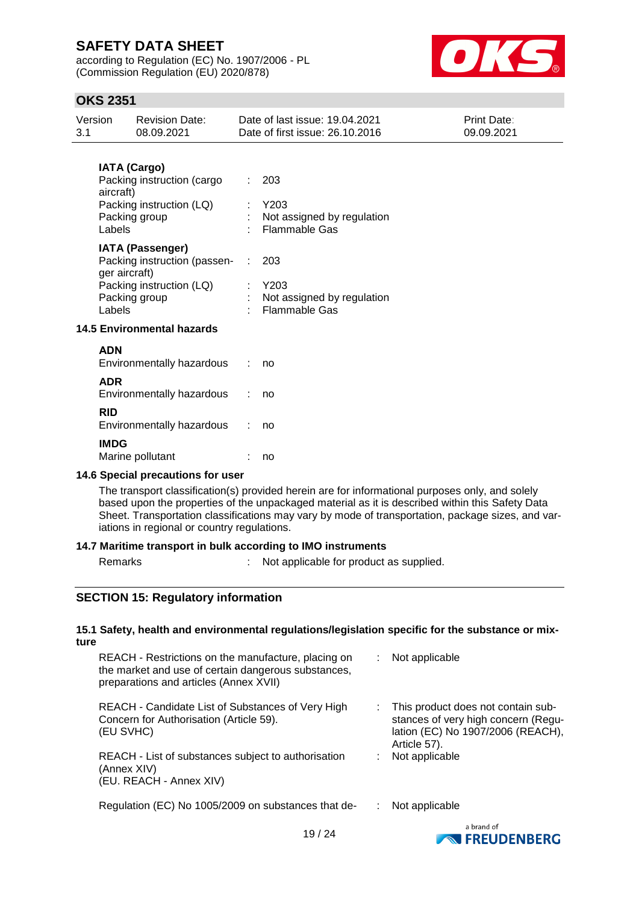according to Regulation (EC) No. 1907/2006 - PL (Commission Regulation (EU) 2020/878)



## **OKS 2351**

| Version<br>3.1                              | <b>Revision Date:</b><br>08.09.2021                               | Date of last issue: 19.04.2021<br>Date of first issue: 26.10.2016 | Print Date:<br>09.09.2021 |
|---------------------------------------------|-------------------------------------------------------------------|-------------------------------------------------------------------|---------------------------|
|                                             | <b>IATA (Cargo)</b><br>Packing instruction (cargo                 | 203                                                               |                           |
|                                             | aircraft)<br>Packing instruction (LQ)<br>Packing group            | Y203<br>Not assigned by regulation                                |                           |
|                                             | Labels<br><b>IATA (Passenger)</b><br>Packing instruction (passen- | <b>Flammable Gas</b><br>203<br>÷.                                 |                           |
|                                             | ger aircraft)<br>Packing instruction (LQ)<br>Packing group        | Y203<br>Not assigned by regulation                                |                           |
| Labels<br><b>14.5 Environmental hazards</b> |                                                                   | <b>Flammable Gas</b>                                              |                           |
|                                             | <b>ADN</b><br>Environmentally hazardous                           | no                                                                |                           |
|                                             | <b>ADR</b><br>Environmentally hazardous<br><b>RID</b>             | no                                                                |                           |
|                                             | Environmentally hazardous<br><b>IMDG</b>                          | no                                                                |                           |
|                                             | Marine pollutant                                                  | no                                                                |                           |

#### **14.6 Special precautions for user**

The transport classification(s) provided herein are for informational purposes only, and solely based upon the properties of the unpackaged material as it is described within this Safety Data Sheet. Transportation classifications may vary by mode of transportation, package sizes, and variations in regional or country regulations.

### **14.7 Maritime transport in bulk according to IMO instruments**

Remarks : Not applicable for product as supplied.

### **SECTION 15: Regulatory information**

#### **15.1 Safety, health and environmental regulations/legislation specific for the substance or mixture**

| REACH - Restrictions on the manufacture, placing on<br>the market and use of certain dangerous substances,<br>preparations and articles (Annex XVII) | Not applicable                                                                                                                   |  |
|------------------------------------------------------------------------------------------------------------------------------------------------------|----------------------------------------------------------------------------------------------------------------------------------|--|
| REACH - Candidate List of Substances of Very High<br>Concern for Authorisation (Article 59).<br>(EU SVHC)                                            | : This product does not contain sub-<br>stances of very high concern (Regu-<br>lation (EC) No 1907/2006 (REACH),<br>Article 57). |  |
| REACH - List of substances subject to authorisation<br>(Annex XIV)<br>(EU. REACH - Annex XIV)                                                        | Not applicable                                                                                                                   |  |
| Regulation (EC) No 1005/2009 on substances that de-                                                                                                  | Not applicable                                                                                                                   |  |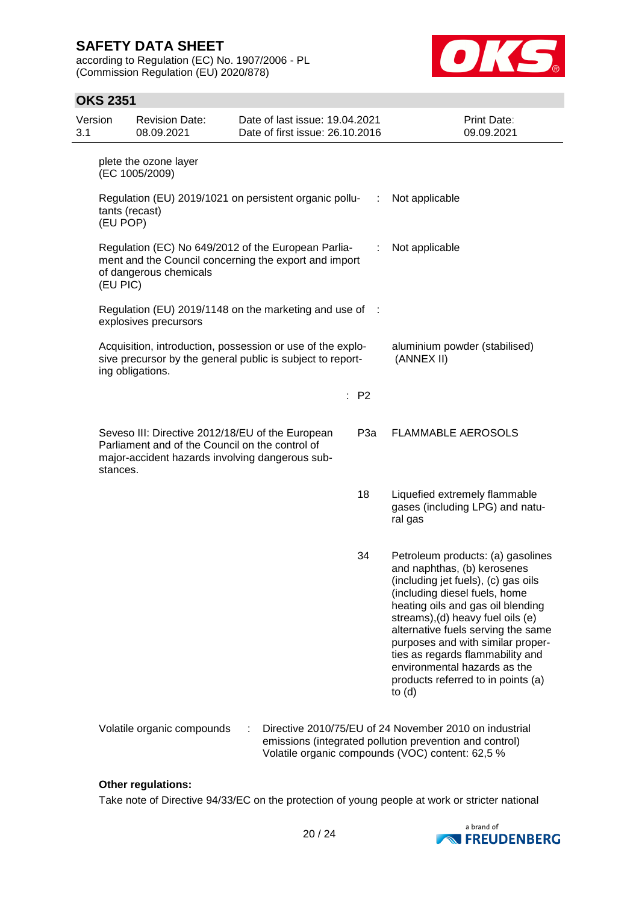according to Regulation (EC) No. 1907/2006 - PL (Commission Regulation (EU) 2020/878)



### **OKS 2351**

| Version<br>3.1 |          | <b>Revision Date:</b><br>08.09.2021                                                                                                                    | Date of last issue: 19.04.2021<br>Date of first issue: 26.10.2016 |      | Print Date:<br>09.09.2021                                                                                                                                                                                                                                                                                                                                                                                           |
|----------------|----------|--------------------------------------------------------------------------------------------------------------------------------------------------------|-------------------------------------------------------------------|------|---------------------------------------------------------------------------------------------------------------------------------------------------------------------------------------------------------------------------------------------------------------------------------------------------------------------------------------------------------------------------------------------------------------------|
|                |          | plete the ozone layer<br>(EC 1005/2009)                                                                                                                |                                                                   |      |                                                                                                                                                                                                                                                                                                                                                                                                                     |
|                | (EU POP) | Regulation (EU) 2019/1021 on persistent organic pollu-<br>tants (recast)                                                                               |                                                                   | ÷    | Not applicable                                                                                                                                                                                                                                                                                                                                                                                                      |
|                | (EU PIC) | Regulation (EC) No 649/2012 of the European Parlia-<br>ment and the Council concerning the export and import<br>of dangerous chemicals                 |                                                                   |      | Not applicable                                                                                                                                                                                                                                                                                                                                                                                                      |
|                |          | Regulation (EU) 2019/1148 on the marketing and use of :<br>explosives precursors                                                                       |                                                                   |      |                                                                                                                                                                                                                                                                                                                                                                                                                     |
|                |          | Acquisition, introduction, possession or use of the explo-<br>sive precursor by the general public is subject to report-<br>ing obligations.           |                                                                   |      | aluminium powder (stabilised)<br>(ANNEX II)                                                                                                                                                                                                                                                                                                                                                                         |
|                |          |                                                                                                                                                        |                                                                   | : P2 |                                                                                                                                                                                                                                                                                                                                                                                                                     |
|                | stances. | Seveso III: Directive 2012/18/EU of the European<br>Parliament and of the Council on the control of<br>major-accident hazards involving dangerous sub- |                                                                   | P3a  | <b>FLAMMABLE AEROSOLS</b>                                                                                                                                                                                                                                                                                                                                                                                           |
|                |          |                                                                                                                                                        |                                                                   | 18   | Liquefied extremely flammable<br>gases (including LPG) and natu-<br>ral gas                                                                                                                                                                                                                                                                                                                                         |
|                |          |                                                                                                                                                        |                                                                   | 34   | Petroleum products: (a) gasolines<br>and naphthas, (b) kerosenes<br>(including jet fuels), (c) gas oils<br>(including diesel fuels, home<br>heating oils and gas oil blending<br>streams), (d) heavy fuel oils (e)<br>alternative fuels serving the same<br>purposes and with similar proper-<br>ties as regards flammability and<br>environmental hazards as the<br>products referred to in points (a)<br>to $(d)$ |
|                |          | Volatile organic compounds                                                                                                                             |                                                                   |      | Directive 2010/75/EU of 24 November 2010 on industrial<br>emissions (integrated pollution prevention and control)<br>Volatile organic compounds (VOC) content: 62,5 %                                                                                                                                                                                                                                               |

#### **Other regulations:**

Take note of Directive 94/33/EC on the protection of young people at work or stricter national

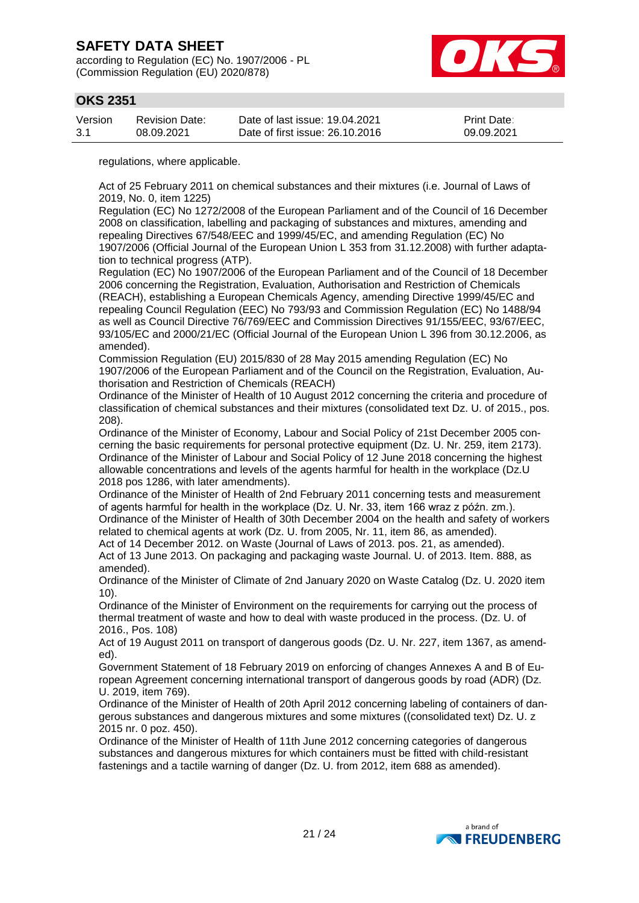according to Regulation (EC) No. 1907/2006 - PL (Commission Regulation (EU) 2020/878)



## **OKS 2351**

| Version | Revision Date: | Date of last issue: 19.04.2021  | <b>Print Date:</b> |
|---------|----------------|---------------------------------|--------------------|
| 3.1     | 08.09.2021     | Date of first issue: 26.10.2016 | 09.09.2021         |

regulations, where applicable.

Act of 25 February 2011 on chemical substances and their mixtures (i.e. Journal of Laws of 2019, No. 0, item 1225)

Regulation (EC) No 1272/2008 of the European Parliament and of the Council of 16 December 2008 on classification, labelling and packaging of substances and mixtures, amending and repealing Directives 67/548/EEC and 1999/45/EC, and amending Regulation (EC) No 1907/2006 (Official Journal of the European Union L 353 from 31.12.2008) with further adaptation to technical progress (ATP).

Regulation (EC) No 1907/2006 of the European Parliament and of the Council of 18 December 2006 concerning the Registration, Evaluation, Authorisation and Restriction of Chemicals (REACH), establishing a European Chemicals Agency, amending Directive 1999/45/EC and repealing Council Regulation (EEC) No 793/93 and Commission Regulation (EC) No 1488/94 as well as Council Directive 76/769/EEC and Commission Directives 91/155/EEC, 93/67/EEC, 93/105/EC and 2000/21/EC (Official Journal of the European Union L 396 from 30.12.2006, as amended).

Commission Regulation (EU) 2015/830 of 28 May 2015 amending Regulation (EC) No 1907/2006 of the European Parliament and of the Council on the Registration, Evaluation, Authorisation and Restriction of Chemicals (REACH)

Ordinance of the Minister of Health of 10 August 2012 concerning the criteria and procedure of classification of chemical substances and their mixtures (consolidated text Dz. U. of 2015., pos. 208).

Ordinance of the Minister of Economy, Labour and Social Policy of 21st December 2005 concerning the basic requirements for personal protective equipment (Dz. U. Nr. 259, item 2173). Ordinance of the Minister of Labour and Social Policy of 12 June 2018 concerning the highest allowable concentrations and levels of the agents harmful for health in the workplace (Dz.U 2018 pos 1286, with later amendments).

Ordinance of the Minister of Health of 2nd February 2011 concerning tests and measurement of agents harmful for health in the workplace (Dz. U. Nr. 33, item 166 wraz z późn. zm.). Ordinance of the Minister of Health of 30th December 2004 on the health and safety of workers related to chemical agents at work (Dz. U. from 2005, Nr. 11, item 86, as amended). Act of 14 December 2012. on Waste (Journal of Laws of 2013. pos. 21, as amended).

Act of 13 June 2013. On packaging and packaging waste Journal. U. of 2013. Item. 888, as amended).

Ordinance of the Minister of Climate of 2nd January 2020 on Waste Catalog (Dz. U. 2020 item 10).

Ordinance of the Minister of Environment on the requirements for carrying out the process of thermal treatment of waste and how to deal with waste produced in the process. (Dz. U. of 2016., Pos. 108)

Act of 19 August 2011 on transport of dangerous goods (Dz. U. Nr. 227, item 1367, as amended).

Government Statement of 18 February 2019 on enforcing of changes Annexes A and B of European Agreement concerning international transport of dangerous goods by road (ADR) (Dz. U. 2019, item 769).

Ordinance of the Minister of Health of 20th April 2012 concerning labeling of containers of dangerous substances and dangerous mixtures and some mixtures ((consolidated text) Dz. U. z 2015 nr. 0 poz. 450).

Ordinance of the Minister of Health of 11th June 2012 concerning categories of dangerous substances and dangerous mixtures for which containers must be fitted with child-resistant fastenings and a tactile warning of danger (Dz. U. from 2012, item 688 as amended).

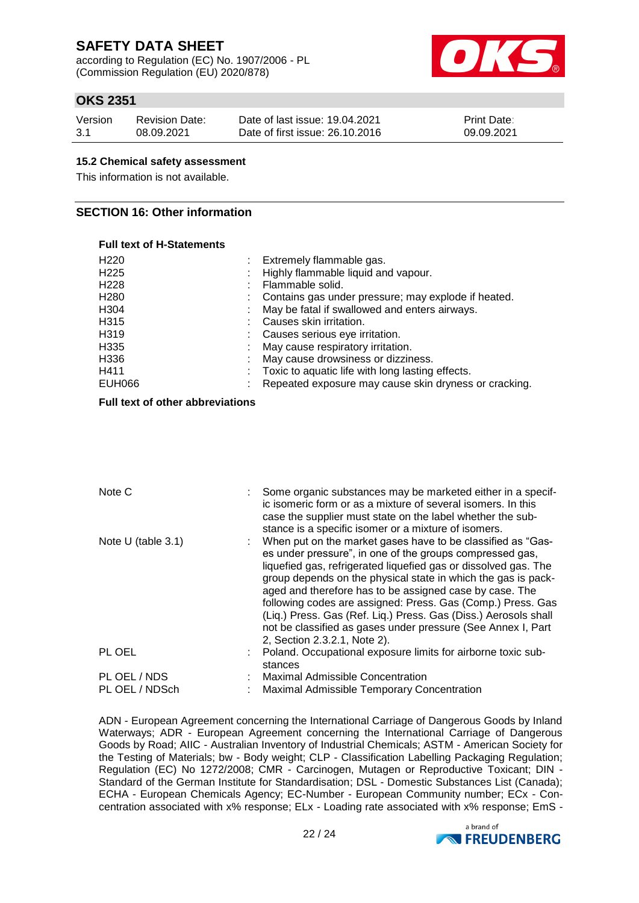according to Regulation (EC) No. 1907/2006 - PL (Commission Regulation (EU) 2020/878)



## **OKS 2351**

| Version | <b>Revision Date:</b> | Date of last issue: 19.04.2021  | <b>Print Date:</b> |
|---------|-----------------------|---------------------------------|--------------------|
| 3.1     | 08.09.2021            | Date of first issue: 26.10.2016 | 09.09.2021         |

#### **15.2 Chemical safety assessment**

This information is not available.

### **SECTION 16: Other information**

#### **Full text of H-Statements**

| H <sub>220</sub> | Extremely flammable gas.                              |
|------------------|-------------------------------------------------------|
| H <sub>225</sub> | Highly flammable liquid and vapour.                   |
| H <sub>228</sub> | Flammable solid.                                      |
| H <sub>280</sub> | Contains gas under pressure; may explode if heated.   |
| H304             | May be fatal if swallowed and enters airways.         |
| H315             | Causes skin irritation.                               |
| H319             | Causes serious eye irritation.                        |
| H335             | May cause respiratory irritation.                     |
| H336             | May cause drowsiness or dizziness.                    |
| H411             | Toxic to aquatic life with long lasting effects.      |
| EUH066           | Repeated exposure may cause skin dryness or cracking. |
|                  |                                                       |

#### **Full text of other abbreviations**

| Note C               |         | Some organic substances may be marketed either in a specif-<br>ic isomeric form or as a mixture of several isomers. In this<br>case the supplier must state on the label whether the sub-<br>stance is a specific isomer or a mixture of isomers.                                                                                                                                                                                                                                                                                                        |
|----------------------|---------|----------------------------------------------------------------------------------------------------------------------------------------------------------------------------------------------------------------------------------------------------------------------------------------------------------------------------------------------------------------------------------------------------------------------------------------------------------------------------------------------------------------------------------------------------------|
| Note $U$ (table 3.1) |         | When put on the market gases have to be classified as "Gas-<br>es under pressure", in one of the groups compressed gas,<br>liquefied gas, refrigerated liquefied gas or dissolved gas. The<br>group depends on the physical state in which the gas is pack-<br>aged and therefore has to be assigned case by case. The<br>following codes are assigned: Press. Gas (Comp.) Press. Gas<br>(Liq.) Press. Gas (Ref. Liq.) Press. Gas (Diss.) Aerosols shall<br>not be classified as gases under pressure (See Annex I, Part<br>2, Section 2.3.2.1, Note 2). |
| PL OEL               | stances | Poland. Occupational exposure limits for airborne toxic sub-                                                                                                                                                                                                                                                                                                                                                                                                                                                                                             |
| PL OEL / NDS         |         | <b>Maximal Admissible Concentration</b>                                                                                                                                                                                                                                                                                                                                                                                                                                                                                                                  |
| PL OEL / NDSch       |         | Maximal Admissible Temporary Concentration                                                                                                                                                                                                                                                                                                                                                                                                                                                                                                               |

ADN - European Agreement concerning the International Carriage of Dangerous Goods by Inland Waterways; ADR - European Agreement concerning the International Carriage of Dangerous Goods by Road; AIIC - Australian Inventory of Industrial Chemicals; ASTM - American Society for the Testing of Materials; bw - Body weight; CLP - Classification Labelling Packaging Regulation; Regulation (EC) No 1272/2008; CMR - Carcinogen, Mutagen or Reproductive Toxicant; DIN -Standard of the German Institute for Standardisation: DSL - Domestic Substances List (Canada); ECHA - European Chemicals Agency; EC-Number - European Community number; ECx - Concentration associated with x% response; ELx - Loading rate associated with x% response; EmS -

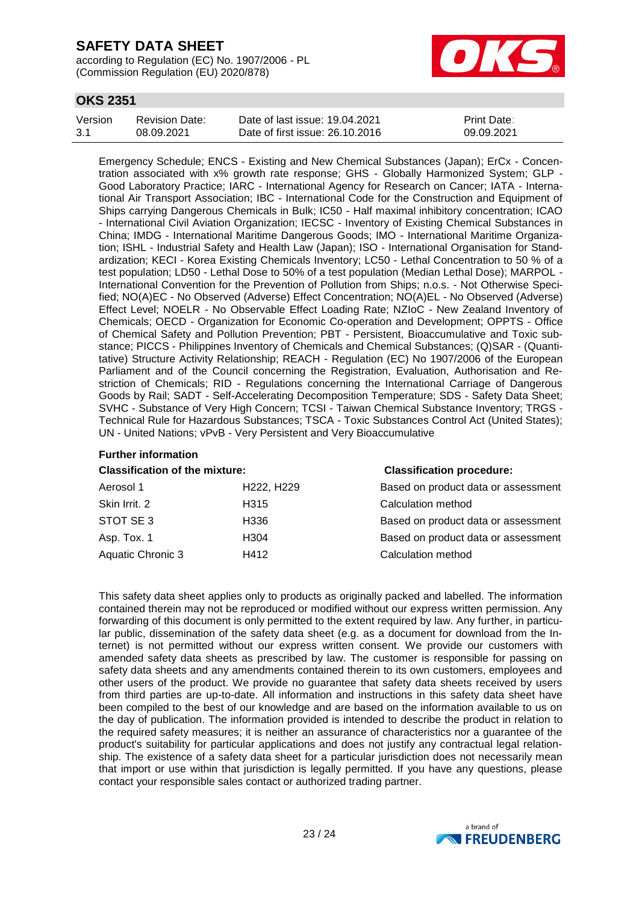according to Regulation (EC) No. 1907/2006 - PL (Commission Regulation (EU) 2020/878)



## **OKS 2351**

| Version | Revision Date: | Date of last issue: 19.04.2021  | <b>Print Date:</b> |
|---------|----------------|---------------------------------|--------------------|
| -3.1    | 08.09.2021     | Date of first issue: 26.10.2016 | 09.09.2021         |

Emergency Schedule; ENCS - Existing and New Chemical Substances (Japan); ErCx - Concentration associated with x% growth rate response; GHS - Globally Harmonized System; GLP - Good Laboratory Practice; IARC - International Agency for Research on Cancer; IATA - International Air Transport Association; IBC - International Code for the Construction and Equipment of Ships carrying Dangerous Chemicals in Bulk; IC50 - Half maximal inhibitory concentration; ICAO - International Civil Aviation Organization; IECSC - Inventory of Existing Chemical Substances in China; IMDG - International Maritime Dangerous Goods; IMO - International Maritime Organization; ISHL - Industrial Safety and Health Law (Japan); ISO - International Organisation for Standardization; KECI - Korea Existing Chemicals Inventory; LC50 - Lethal Concentration to 50 % of a test population; LD50 - Lethal Dose to 50% of a test population (Median Lethal Dose); MARPOL - International Convention for the Prevention of Pollution from Ships; n.o.s. - Not Otherwise Specified; NO(A)EC - No Observed (Adverse) Effect Concentration; NO(A)EL - No Observed (Adverse) Effect Level; NOELR - No Observable Effect Loading Rate; NZIoC - New Zealand Inventory of Chemicals; OECD - Organization for Economic Co-operation and Development; OPPTS - Office of Chemical Safety and Pollution Prevention; PBT - Persistent, Bioaccumulative and Toxic substance; PICCS - Philippines Inventory of Chemicals and Chemical Substances; (Q)SAR - (Quantitative) Structure Activity Relationship; REACH - Regulation (EC) No 1907/2006 of the European Parliament and of the Council concerning the Registration, Evaluation, Authorisation and Restriction of Chemicals; RID - Regulations concerning the International Carriage of Dangerous Goods by Rail; SADT - Self-Accelerating Decomposition Temperature; SDS - Safety Data Sheet; SVHC - Substance of Very High Concern; TCSI - Taiwan Chemical Substance Inventory; TRGS - Technical Rule for Hazardous Substances; TSCA - Toxic Substances Control Act (United States); UN - United Nations; vPvB - Very Persistent and Very Bioaccumulative

# **Further information**

| <b>Classification of the mixture:</b> | <b>Classification procedure:</b> |
|---------------------------------------|----------------------------------|
|                                       |                                  |

| Aerosol 1                | H <sub>222</sub> , H <sub>229</sub> | Based on product data or assessment |
|--------------------------|-------------------------------------|-------------------------------------|
| Skin Irrit. 2            | H315                                | Calculation method                  |
| STOT SE3                 | H336                                | Based on product data or assessment |
| Asp. Tox. 1              | H <sub>304</sub>                    | Based on product data or assessment |
| <b>Aquatic Chronic 3</b> | H412                                | Calculation method                  |

This safety data sheet applies only to products as originally packed and labelled. The information contained therein may not be reproduced or modified without our express written permission. Any forwarding of this document is only permitted to the extent required by law. Any further, in particular public, dissemination of the safety data sheet (e.g. as a document for download from the Internet) is not permitted without our express written consent. We provide our customers with amended safety data sheets as prescribed by law. The customer is responsible for passing on safety data sheets and any amendments contained therein to its own customers, employees and other users of the product. We provide no guarantee that safety data sheets received by users from third parties are up-to-date. All information and instructions in this safety data sheet have been compiled to the best of our knowledge and are based on the information available to us on the day of publication. The information provided is intended to describe the product in relation to the required safety measures; it is neither an assurance of characteristics nor a guarantee of the product's suitability for particular applications and does not justify any contractual legal relationship. The existence of a safety data sheet for a particular jurisdiction does not necessarily mean that import or use within that jurisdiction is legally permitted. If you have any questions, please contact your responsible sales contact or authorized trading partner.